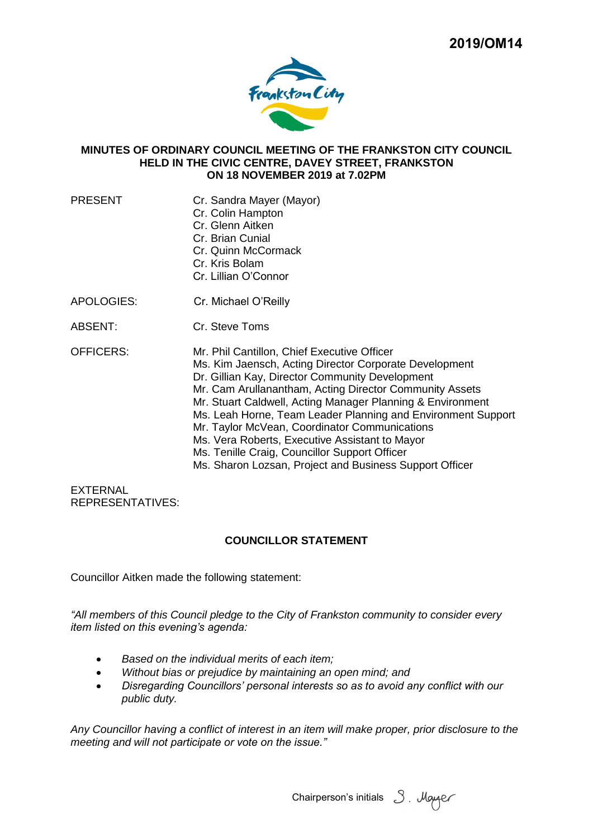

### **MINUTES OF ORDINARY COUNCIL MEETING OF THE FRANKSTON CITY COUNCIL HELD IN THE CIVIC CENTRE, DAVEY STREET, FRANKSTON ON 18 NOVEMBER 2019 at 7.02PM**

- PRESENT Cr. Sandra Mayer (Mayor)
	- Cr. Colin Hampton
	- Cr. Glenn Aitken
	- Cr. Brian Cunial
	- Cr. Quinn McCormack
	- Cr. Kris Bolam
	- Cr. Lillian O'Connor
- APOLOGIES: Cr. Michael O'Reilly
- ABSENT: Cr. Steve Toms
- OFFICERS: Mr. Phil Cantillon, Chief Executive Officer Ms. Kim Jaensch, Acting Director Corporate Development Dr. Gillian Kay, Director Community Development Mr. Cam Arullanantham, Acting Director Community Assets Mr. Stuart Caldwell, Acting Manager Planning & Environment Ms. Leah Horne, Team Leader Planning and Environment Support Mr. Taylor McVean, Coordinator Communications Ms. Vera Roberts, Executive Assistant to Mayor Ms. Tenille Craig, Councillor Support Officer Ms. Sharon Lozsan, Project and Business Support Officer

EXTERNAL REPRESENTATIVES:

## **COUNCILLOR STATEMENT**

Councillor Aitken made the following statement:

*"All members of this Council pledge to the City of Frankston community to consider every item listed on this evening's agenda:*

- *Based on the individual merits of each item;*
- *Without bias or prejudice by maintaining an open mind; and*
- *Disregarding Councillors' personal interests so as to avoid any conflict with our public duty.*

*Any Councillor having a conflict of interest in an item will make proper, prior disclosure to the meeting and will not participate or vote on the issue."*

Chairperson's initials 3. Mayaer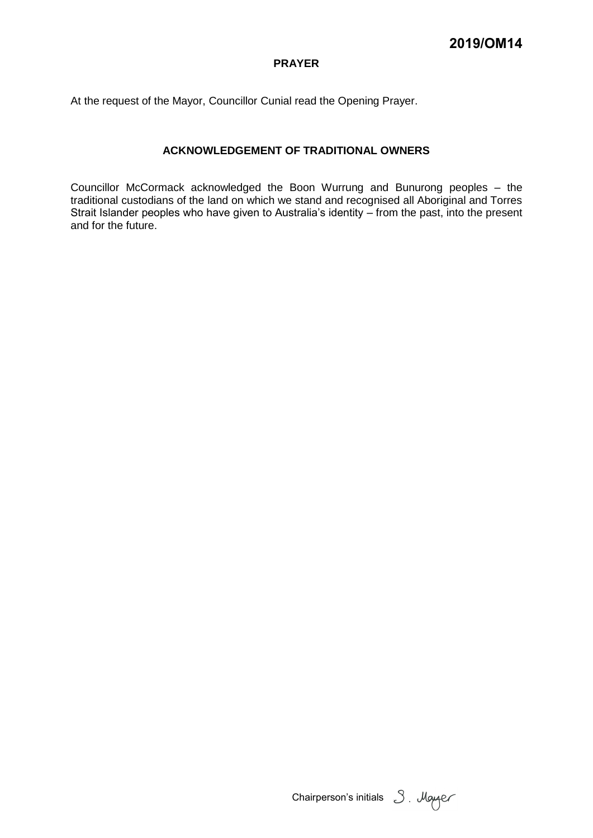## **PRAYER**

At the request of the Mayor, Councillor Cunial read the Opening Prayer.

## **ACKNOWLEDGEMENT OF TRADITIONAL OWNERS**

Councillor McCormack acknowledged the Boon Wurrung and Bunurong peoples – the traditional custodians of the land on which we stand and recognised all Aboriginal and Torres Strait Islander peoples who have given to Australia's identity – from the past, into the present and for the future.

Chairperson's initials 3. Mayer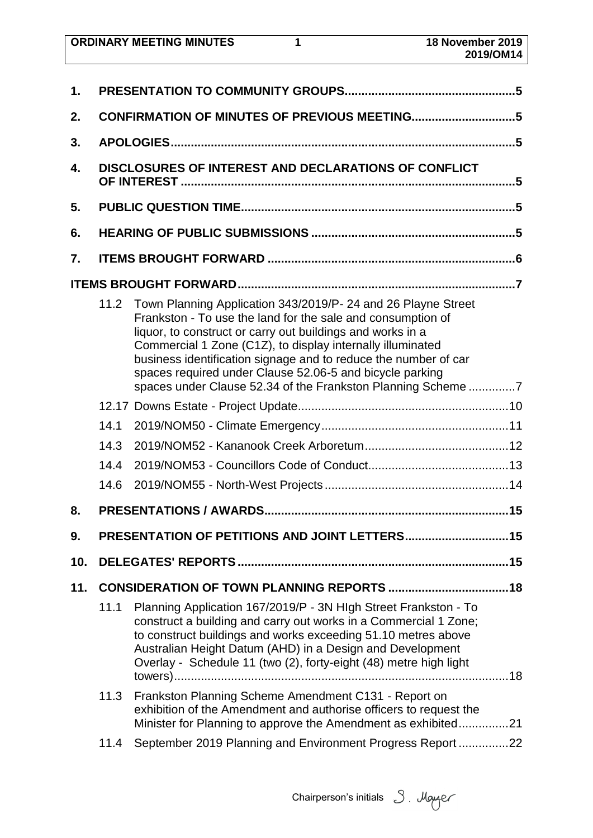| <b>ORDINARY MEETING MINUTES</b> | 18 November 2019 |
|---------------------------------|------------------|
|                                 | 2019/OM14        |

| 1.  |                                              |                                                                                                                                                                                                                                                                                                                                                                                                                                                         |  |  |
|-----|----------------------------------------------|---------------------------------------------------------------------------------------------------------------------------------------------------------------------------------------------------------------------------------------------------------------------------------------------------------------------------------------------------------------------------------------------------------------------------------------------------------|--|--|
| 2.  | CONFIRMATION OF MINUTES OF PREVIOUS MEETING5 |                                                                                                                                                                                                                                                                                                                                                                                                                                                         |  |  |
| 3.  |                                              |                                                                                                                                                                                                                                                                                                                                                                                                                                                         |  |  |
| 4.  |                                              | DISCLOSURES OF INTEREST AND DECLARATIONS OF CONFLICT                                                                                                                                                                                                                                                                                                                                                                                                    |  |  |
| 5.  |                                              |                                                                                                                                                                                                                                                                                                                                                                                                                                                         |  |  |
| 6.  |                                              |                                                                                                                                                                                                                                                                                                                                                                                                                                                         |  |  |
| 7.  |                                              |                                                                                                                                                                                                                                                                                                                                                                                                                                                         |  |  |
|     |                                              |                                                                                                                                                                                                                                                                                                                                                                                                                                                         |  |  |
|     | 11.2                                         | Town Planning Application 343/2019/P- 24 and 26 Playne Street<br>Frankston - To use the land for the sale and consumption of<br>liquor, to construct or carry out buildings and works in a<br>Commercial 1 Zone (C1Z), to display internally illuminated<br>business identification signage and to reduce the number of car<br>spaces required under Clause 52.06-5 and bicycle parking<br>spaces under Clause 52.34 of the Frankston Planning Scheme 7 |  |  |
|     |                                              |                                                                                                                                                                                                                                                                                                                                                                                                                                                         |  |  |
|     | 14.1                                         |                                                                                                                                                                                                                                                                                                                                                                                                                                                         |  |  |
|     | 14.3                                         |                                                                                                                                                                                                                                                                                                                                                                                                                                                         |  |  |
|     | 14.4                                         |                                                                                                                                                                                                                                                                                                                                                                                                                                                         |  |  |
|     | 14.6                                         |                                                                                                                                                                                                                                                                                                                                                                                                                                                         |  |  |
| 8.  |                                              |                                                                                                                                                                                                                                                                                                                                                                                                                                                         |  |  |
| 9.  |                                              | PRESENTATION OF PETITIONS AND JOINT LETTERS 15                                                                                                                                                                                                                                                                                                                                                                                                          |  |  |
| 10. |                                              |                                                                                                                                                                                                                                                                                                                                                                                                                                                         |  |  |
| 11. |                                              |                                                                                                                                                                                                                                                                                                                                                                                                                                                         |  |  |
|     | 11.1                                         | Planning Application 167/2019/P - 3N HIgh Street Frankston - To<br>construct a building and carry out works in a Commercial 1 Zone;<br>to construct buildings and works exceeding 51.10 metres above<br>Australian Height Datum (AHD) in a Design and Development<br>Overlay - Schedule 11 (two (2), forty-eight (48) metre high light                                                                                                                  |  |  |
|     | 11.3                                         | Frankston Planning Scheme Amendment C131 - Report on<br>exhibition of the Amendment and authorise officers to request the<br>Minister for Planning to approve the Amendment as exhibited21                                                                                                                                                                                                                                                              |  |  |
|     | 11.4                                         | September 2019 Planning and Environment Progress Report 22                                                                                                                                                                                                                                                                                                                                                                                              |  |  |
|     |                                              |                                                                                                                                                                                                                                                                                                                                                                                                                                                         |  |  |

Chairperson's initials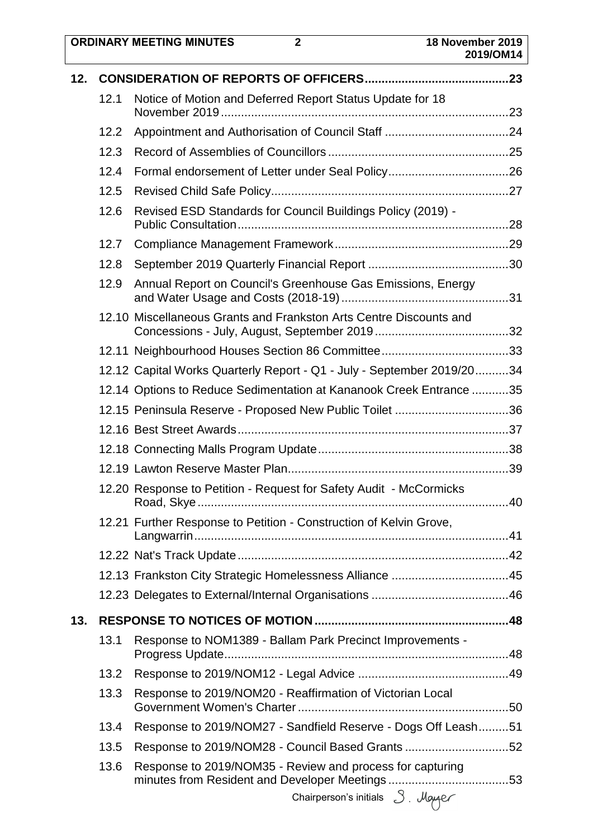|     |      | <b>ORDINARY MEETING MINUTES</b><br>$\overline{2}$                      | 18 November 2019<br>2019/OM14 |
|-----|------|------------------------------------------------------------------------|-------------------------------|
| 12. |      |                                                                        |                               |
|     | 12.1 | Notice of Motion and Deferred Report Status Update for 18              |                               |
|     | 12.2 |                                                                        |                               |
|     | 12.3 |                                                                        |                               |
|     | 12.4 |                                                                        |                               |
|     | 12.5 |                                                                        |                               |
|     | 12.6 | Revised ESD Standards for Council Buildings Policy (2019) -            |                               |
|     | 12.7 |                                                                        |                               |
|     | 12.8 |                                                                        |                               |
|     | 12.9 | Annual Report on Council's Greenhouse Gas Emissions, Energy            |                               |
|     |      | 12.10 Miscellaneous Grants and Frankston Arts Centre Discounts and     |                               |
|     |      |                                                                        |                               |
|     |      | 12.12 Capital Works Quarterly Report - Q1 - July - September 2019/2034 |                               |
|     |      | 12.14 Options to Reduce Sedimentation at Kananook Creek Entrance 35    |                               |
|     |      | 12.15 Peninsula Reserve - Proposed New Public Toilet 36                |                               |
|     |      |                                                                        |                               |
|     |      |                                                                        |                               |
|     |      |                                                                        |                               |
|     |      | 12.20 Response to Petition - Request for Safety Audit - McCormicks     |                               |
|     |      | 12.21 Further Response to Petition - Construction of Kelvin Grove,     |                               |
|     |      |                                                                        |                               |
|     |      | 12.13 Frankston City Strategic Homelessness Alliance 45                |                               |
|     |      |                                                                        |                               |
| 13. |      |                                                                        |                               |
|     | 13.1 | Response to NOM1389 - Ballam Park Precinct Improvements -              |                               |
|     | 13.2 |                                                                        |                               |
|     | 13.3 | Response to 2019/NOM20 - Reaffirmation of Victorian Local              |                               |
|     | 13.4 | Response to 2019/NOM27 - Sandfield Reserve - Dogs Off Leash51          |                               |
|     | 13.5 | Response to 2019/NOM28 - Council Based Grants 52                       |                               |
|     | 13.6 | Response to 2019/NOM35 - Review and process for capturing              |                               |
|     |      | Chairperson's initials $\beta$ . Mayor                                 |                               |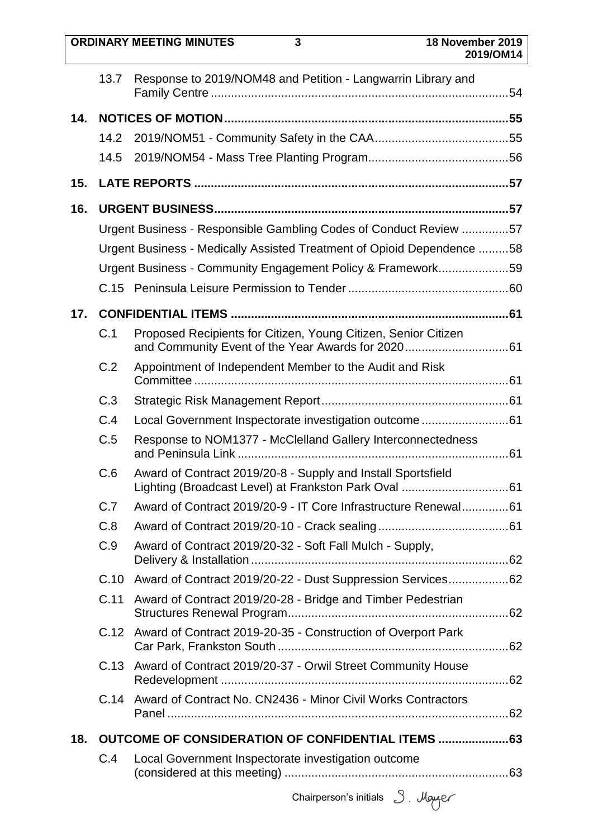|     |      | <b>ORDINARY MEETING MINUTES</b><br>3                                   | 18 November 2019<br>2019/OM14 |
|-----|------|------------------------------------------------------------------------|-------------------------------|
|     | 13.7 | Response to 2019/NOM48 and Petition - Langwarrin Library and           |                               |
| 14. |      |                                                                        |                               |
|     | 14.2 |                                                                        |                               |
|     | 14.5 |                                                                        |                               |
| 15. |      |                                                                        |                               |
| 16. |      |                                                                        |                               |
|     |      | Urgent Business - Responsible Gambling Codes of Conduct Review 57      |                               |
|     |      | Urgent Business - Medically Assisted Treatment of Opioid Dependence 58 |                               |
|     |      | Urgent Business - Community Engagement Policy & Framework59            |                               |
|     |      |                                                                        |                               |
| 17. |      |                                                                        |                               |
|     | C.1  | Proposed Recipients for Citizen, Young Citizen, Senior Citizen         |                               |
|     | C.2  | Appointment of Independent Member to the Audit and Risk                |                               |
|     | C.3  |                                                                        |                               |
|     | C.4  | Local Government Inspectorate investigation outcome 61                 |                               |
|     | C.5  | Response to NOM1377 - McClelland Gallery Interconnectedness            |                               |
|     | C.6  | Award of Contract 2019/20-8 - Supply and Install Sportsfield           |                               |
|     | C.7  | Award of Contract 2019/20-9 - IT Core Infrastructure Renewal61         |                               |
|     | C.8  |                                                                        |                               |
|     | C.9  | Award of Contract 2019/20-32 - Soft Fall Mulch - Supply,               |                               |
|     | C.10 | Award of Contract 2019/20-22 - Dust Suppression Services62             |                               |
|     | C.11 | Award of Contract 2019/20-28 - Bridge and Timber Pedestrian            |                               |
|     | C.12 | Award of Contract 2019-20-35 - Construction of Overport Park           |                               |
|     |      | C.13 Award of Contract 2019/20-37 - Orwil Street Community House       |                               |
|     |      | C.14 Award of Contract No. CN2436 - Minor Civil Works Contractors      |                               |
| 18. |      |                                                                        |                               |
|     | C.4  | Local Government Inspectorate investigation outcome                    |                               |
|     |      | Chairperson's initials $3.$ Mayor                                      |                               |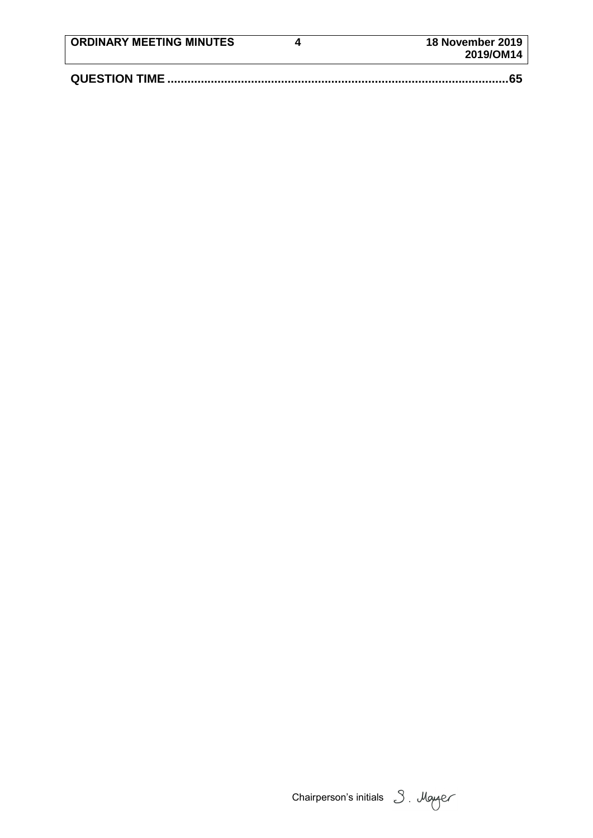| <b>ORDINARY MEETING MINUTES</b> | 18 November 2019<br>2019/OM14 |
|---------------------------------|-------------------------------|
|                                 |                               |

Chairperson's initials 3. Moyer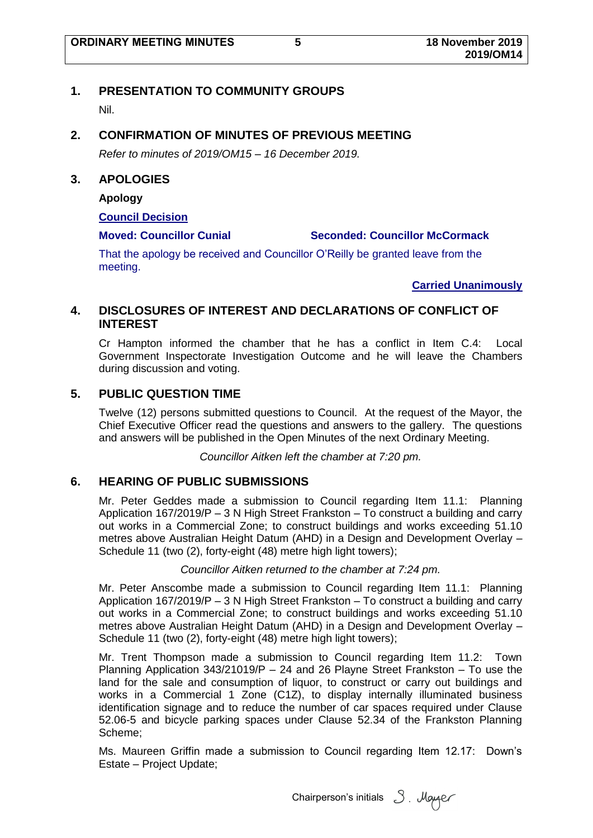## <span id="page-6-0"></span>**1. PRESENTATION TO COMMUNITY GROUPS**

Nil.

## <span id="page-6-1"></span>**2. CONFIRMATION OF MINUTES OF PREVIOUS MEETING**

*Refer to minutes of 2019/OM15 – 16 December 2019.*

### <span id="page-6-2"></span>**3. APOLOGIES**

**Apology**

#### **Council Decision**

#### **Moved: Councillor Cunial Seconded: Councillor McCormack**

That the apology be received and Councillor O'Reilly be granted leave from the meeting.

**Carried Unanimously**

## <span id="page-6-3"></span>**4. DISCLOSURES OF INTEREST AND DECLARATIONS OF CONFLICT OF INTEREST**

Cr Hampton informed the chamber that he has a conflict in Item C.4: Local Government Inspectorate Investigation Outcome and he will leave the Chambers during discussion and voting.

## <span id="page-6-4"></span>**5. PUBLIC QUESTION TIME**

Twelve (12) persons submitted questions to Council. At the request of the Mayor, the Chief Executive Officer read the questions and answers to the gallery. The questions and answers will be published in the Open Minutes of the next Ordinary Meeting.

*Councillor Aitken left the chamber at 7:20 pm.*

## <span id="page-6-5"></span>**6. HEARING OF PUBLIC SUBMISSIONS**

Mr. Peter Geddes made a submission to Council regarding Item 11.1: Planning Application 167/2019/P – 3 N High Street Frankston – To construct a building and carry out works in a Commercial Zone; to construct buildings and works exceeding 51.10 metres above Australian Height Datum (AHD) in a Design and Development Overlay – Schedule 11 (two (2), forty-eight (48) metre high light towers);

#### *Councillor Aitken returned to the chamber at 7:24 pm.*

Mr. Peter Anscombe made a submission to Council regarding Item 11.1: Planning Application 167/2019/P – 3 N High Street Frankston – To construct a building and carry out works in a Commercial Zone; to construct buildings and works exceeding 51.10 metres above Australian Height Datum (AHD) in a Design and Development Overlay – Schedule 11 (two (2), forty-eight (48) metre high light towers);

Mr. Trent Thompson made a submission to Council regarding Item 11.2: Town Planning Application 343/21019/P – 24 and 26 Playne Street Frankston – To use the land for the sale and consumption of liquor, to construct or carry out buildings and works in a Commercial 1 Zone (C1Z), to display internally illuminated business identification signage and to reduce the number of car spaces required under Clause 52.06-5 and bicycle parking spaces under Clause 52.34 of the Frankston Planning Scheme;

Ms. Maureen Griffin made a submission to Council regarding Item 12.17: Down's Estate – Project Update;

Chairperson's initials 3. Mayer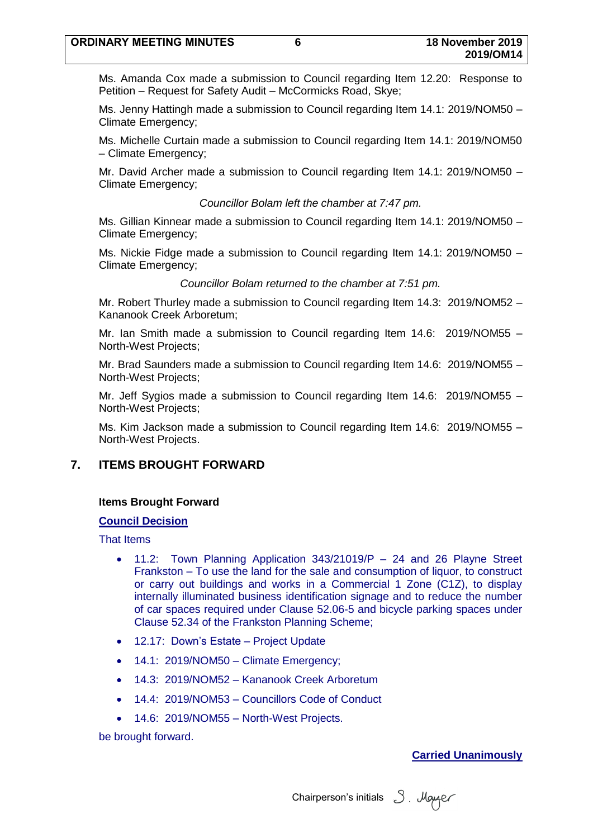Ms. Amanda Cox made a submission to Council regarding Item 12.20: Response to Petition – Request for Safety Audit – McCormicks Road, Skye;

Ms. Jenny Hattingh made a submission to Council regarding Item 14.1: 2019/NOM50 – Climate Emergency;

Ms. Michelle Curtain made a submission to Council regarding Item 14.1: 2019/NOM50 – Climate Emergency;

Mr. David Archer made a submission to Council regarding Item 14.1: 2019/NOM50 – Climate Emergency;

*Councillor Bolam left the chamber at 7:47 pm.*

Ms. Gillian Kinnear made a submission to Council regarding Item 14.1: 2019/NOM50 – Climate Emergency;

Ms. Nickie Fidge made a submission to Council regarding Item 14.1: 2019/NOM50 – Climate Emergency;

*Councillor Bolam returned to the chamber at 7:51 pm.*

Mr. Robert Thurley made a submission to Council regarding Item 14.3: 2019/NOM52 – Kananook Creek Arboretum;

Mr. Ian Smith made a submission to Council regarding Item 14.6: 2019/NOM55 – North-West Projects;

Mr. Brad Saunders made a submission to Council regarding Item 14.6: 2019/NOM55 – North-West Projects;

Mr. Jeff Sygios made a submission to Council regarding Item 14.6: 2019/NOM55 – North-West Projects;

Ms. Kim Jackson made a submission to Council regarding Item 14.6: 2019/NOM55 – North-West Projects.

## <span id="page-7-0"></span>**7. ITEMS BROUGHT FORWARD**

## **Items Brought Forward**

## **Council Decision**

That Items

- 11.2: Town Planning Application 343/21019/P 24 and 26 Playne Street Frankston – To use the land for the sale and consumption of liquor, to construct or carry out buildings and works in a Commercial 1 Zone (C1Z), to display internally illuminated business identification signage and to reduce the number of car spaces required under Clause 52.06-5 and bicycle parking spaces under Clause 52.34 of the Frankston Planning Scheme;
- 12.17: Down's Estate Project Update
- 14.1: 2019/NOM50 Climate Emergency;
- 14.3: 2019/NOM52 Kananook Creek Arboretum
- 14.4: 2019/NOM53 Councillors Code of Conduct
- 14.6: 2019/NOM55 North-West Projects.

be brought forward.

## **Carried Unanimously**

Chairperson's initials 3. Mayor

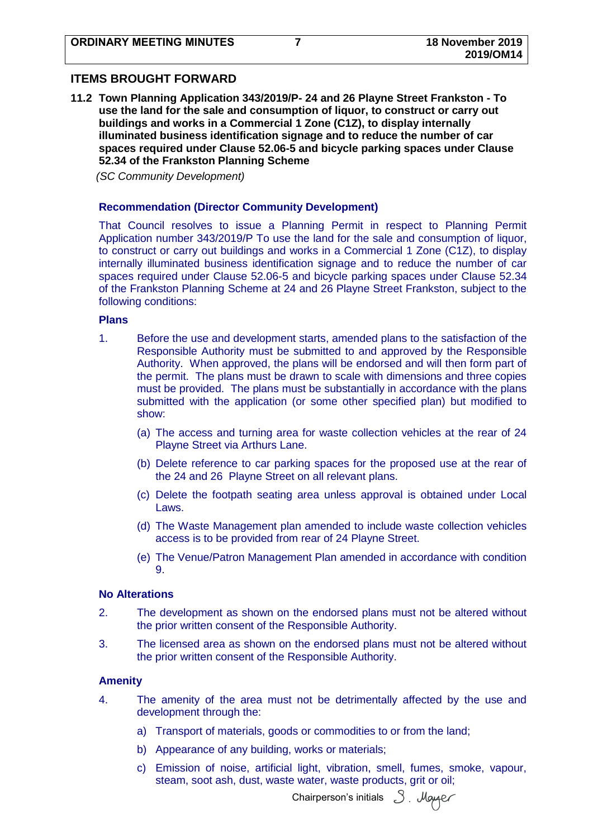## <span id="page-8-0"></span>**ITEMS BROUGHT FORWARD**

<span id="page-8-1"></span>**11.2 Town Planning Application 343/2019/P- 24 and 26 Playne Street Frankston - To use the land for the sale and consumption of liquor, to construct or carry out buildings and works in a Commercial 1 Zone (C1Z), to display internally illuminated business identification signage and to reduce the number of car spaces required under Clause 52.06-5 and bicycle parking spaces under Clause 52.34 of the Frankston Planning Scheme**

*(SC Community Development)*

#### **Recommendation (Director Community Development)**

That Council resolves to issue a Planning Permit in respect to Planning Permit Application number 343/2019/P To use the land for the sale and consumption of liquor, to construct or carry out buildings and works in a Commercial 1 Zone (C1Z), to display internally illuminated business identification signage and to reduce the number of car spaces required under Clause 52.06-5 and bicycle parking spaces under Clause 52.34 of the Frankston Planning Scheme at 24 and 26 Playne Street Frankston, subject to the following conditions:

#### **Plans**

- 1. Before the use and development starts, amended plans to the satisfaction of the Responsible Authority must be submitted to and approved by the Responsible Authority. When approved, the plans will be endorsed and will then form part of the permit. The plans must be drawn to scale with dimensions and three copies must be provided. The plans must be substantially in accordance with the plans submitted with the application (or some other specified plan) but modified to show:
	- (a) The access and turning area for waste collection vehicles at the rear of 24 Playne Street via Arthurs Lane.
	- (b) Delete reference to car parking spaces for the proposed use at the rear of the 24 and 26 Playne Street on all relevant plans.
	- (c) Delete the footpath seating area unless approval is obtained under Local Laws.
	- (d) The Waste Management plan amended to include waste collection vehicles access is to be provided from rear of 24 Playne Street.
	- (e) The Venue/Patron Management Plan amended in accordance with condition 9.

#### **No Alterations**

- 2. The development as shown on the endorsed plans must not be altered without the prior written consent of the Responsible Authority.
- 3. The licensed area as shown on the endorsed plans must not be altered without the prior written consent of the Responsible Authority.

#### **Amenity**

- 4. The amenity of the area must not be detrimentally affected by the use and development through the:
	- a) Transport of materials, goods or commodities to or from the land;
	- b) Appearance of any building, works or materials;
	- c) Emission of noise, artificial light, vibration, smell, fumes, smoke, vapour, steam, soot ash, dust, waste water, waste products, grit or oil;

Chairperson's initials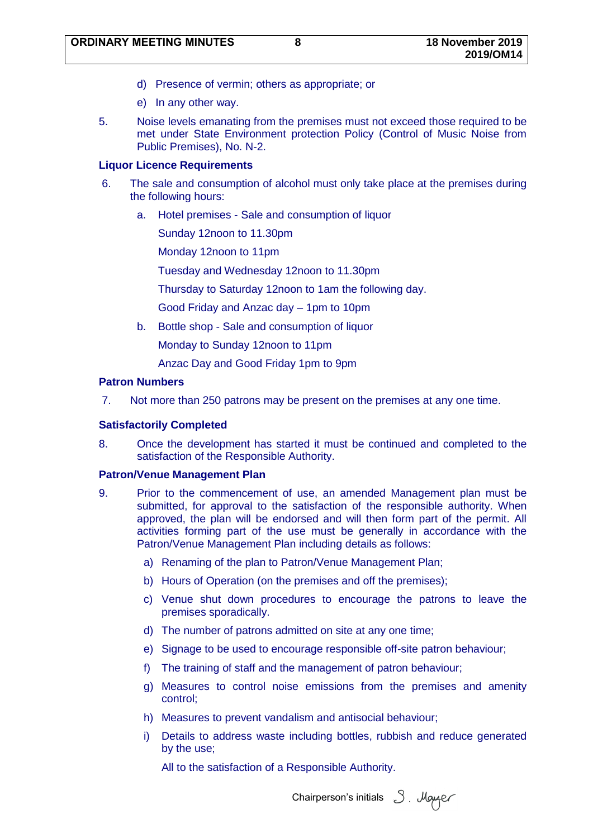- d) Presence of vermin; others as appropriate; or
- e) In any other way.
- 5. Noise levels emanating from the premises must not exceed those required to be met under State Environment protection Policy (Control of Music Noise from Public Premises), No. N-2.

#### **Liquor Licence Requirements**

- 6. The sale and consumption of alcohol must only take place at the premises during the following hours:
	- a. Hotel premises Sale and consumption of liquor

Sunday 12noon to 11.30pm

Monday 12noon to 11pm

Tuesday and Wednesday 12noon to 11.30pm

Thursday to Saturday 12noon to 1am the following day.

Good Friday and Anzac day – 1pm to 10pm

b. Bottle shop - Sale and consumption of liquor

Monday to Sunday 12noon to 11pm

Anzac Day and Good Friday 1pm to 9pm

#### **Patron Numbers**

7. Not more than 250 patrons may be present on the premises at any one time.

#### **Satisfactorily Completed**

8. Once the development has started it must be continued and completed to the satisfaction of the Responsible Authority.

#### **Patron/Venue Management Plan**

- 9. Prior to the commencement of use, an amended Management plan must be submitted, for approval to the satisfaction of the responsible authority. When approved, the plan will be endorsed and will then form part of the permit. All activities forming part of the use must be generally in accordance with the Patron/Venue Management Plan including details as follows:
	- a) Renaming of the plan to Patron/Venue Management Plan;
	- b) Hours of Operation (on the premises and off the premises);
	- c) Venue shut down procedures to encourage the patrons to leave the premises sporadically.
	- d) The number of patrons admitted on site at any one time;
	- e) Signage to be used to encourage responsible off-site patron behaviour;
	- f) The training of staff and the management of patron behaviour;
	- g) Measures to control noise emissions from the premises and amenity control;
	- h) Measures to prevent vandalism and antisocial behaviour;
	- i) Details to address waste including bottles, rubbish and reduce generated by the use;

All to the satisfaction of a Responsible Authority.

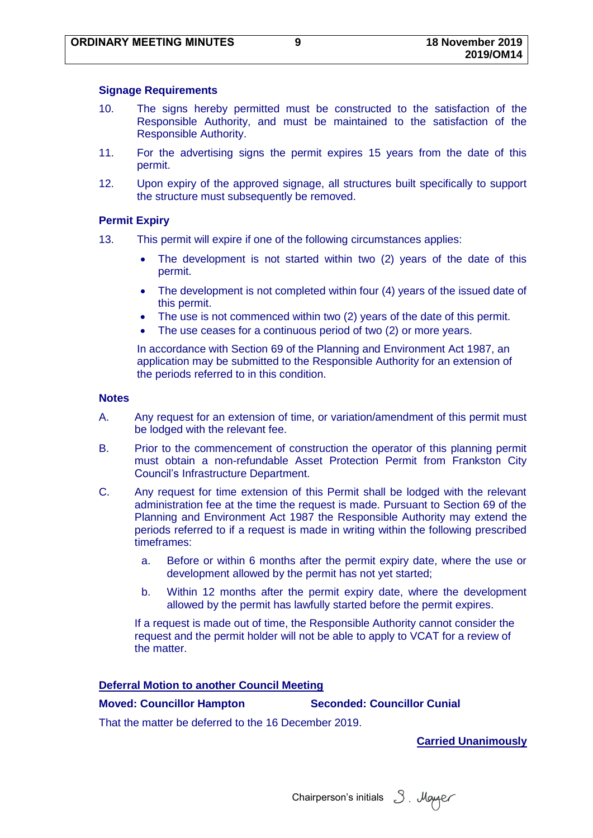#### **Signage Requirements**

- 10. The signs hereby permitted must be constructed to the satisfaction of the Responsible Authority, and must be maintained to the satisfaction of the Responsible Authority.
- 11. For the advertising signs the permit expires 15 years from the date of this permit.
- 12. Upon expiry of the approved signage, all structures built specifically to support the structure must subsequently be removed.

#### **Permit Expiry**

- 13. This permit will expire if one of the following circumstances applies:
	- The development is not started within two (2) years of the date of this permit.
	- The development is not completed within four (4) years of the issued date of this permit.
	- The use is not commenced within two (2) years of the date of this permit.
	- The use ceases for a continuous period of two (2) or more years.

In accordance with Section 69 of the Planning and Environment Act 1987, an application may be submitted to the Responsible Authority for an extension of the periods referred to in this condition.

#### **Notes**

- A. Any request for an extension of time, or variation/amendment of this permit must be lodged with the relevant fee.
- B. Prior to the commencement of construction the operator of this planning permit must obtain a non-refundable Asset Protection Permit from Frankston City Council's Infrastructure Department.
- C. Any request for time extension of this Permit shall be lodged with the relevant administration fee at the time the request is made. Pursuant to Section 69 of the Planning and Environment Act 1987 the Responsible Authority may extend the periods referred to if a request is made in writing within the following prescribed timeframes:
	- a. Before or within 6 months after the permit expiry date, where the use or development allowed by the permit has not yet started;
	- b. Within 12 months after the permit expiry date, where the development allowed by the permit has lawfully started before the permit expires.

If a request is made out of time, the Responsible Authority cannot consider the request and the permit holder will not be able to apply to VCAT for a review of the matter.

#### **Deferral Motion to another Council Meeting**

**Moved: Councillor Hampton Seconded: Councillor Cunial**

That the matter be deferred to the 16 December 2019.

Chairperson's initials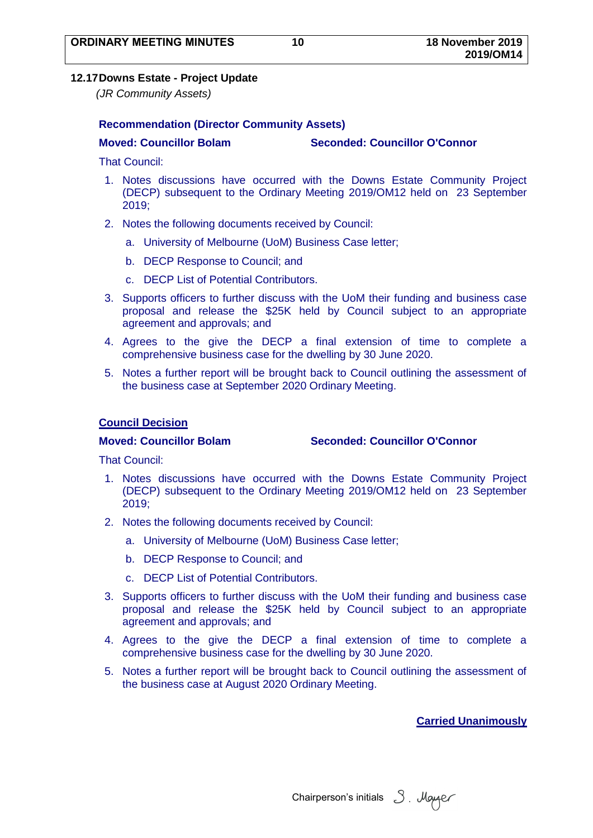## <span id="page-11-0"></span>**12.17Downs Estate - Project Update**

*(JR Community Assets)*

## **Recommendation (Director Community Assets)**

**Moved: Councillor Bolam Seconded: Councillor O'Connor**

That Council:

- 1. Notes discussions have occurred with the Downs Estate Community Project (DECP) subsequent to the Ordinary Meeting 2019/OM12 held on 23 September 2019;
- 2. Notes the following documents received by Council:
	- a. University of Melbourne (UoM) Business Case letter;
	- b. DECP Response to Council; and
	- c. DECP List of Potential Contributors.
- 3. Supports officers to further discuss with the UoM their funding and business case proposal and release the \$25K held by Council subject to an appropriate agreement and approvals; and
- 4. Agrees to the give the DECP a final extension of time to complete a comprehensive business case for the dwelling by 30 June 2020.
- 5. Notes a further report will be brought back to Council outlining the assessment of the business case at September 2020 Ordinary Meeting.

## **Council Decision**

**Moved: Councillor Bolam Seconded: Councillor O'Connor**

That Council:

- 1. Notes discussions have occurred with the Downs Estate Community Project (DECP) subsequent to the Ordinary Meeting 2019/OM12 held on 23 September 2019;
- 2. Notes the following documents received by Council:
	- a. University of Melbourne (UoM) Business Case letter;
	- b. DECP Response to Council; and
	- c. DECP List of Potential Contributors.
- 3. Supports officers to further discuss with the UoM their funding and business case proposal and release the \$25K held by Council subject to an appropriate agreement and approvals; and
- 4. Agrees to the give the DECP a final extension of time to complete a comprehensive business case for the dwelling by 30 June 2020.
- 5. Notes a further report will be brought back to Council outlining the assessment of the business case at August 2020 Ordinary Meeting.

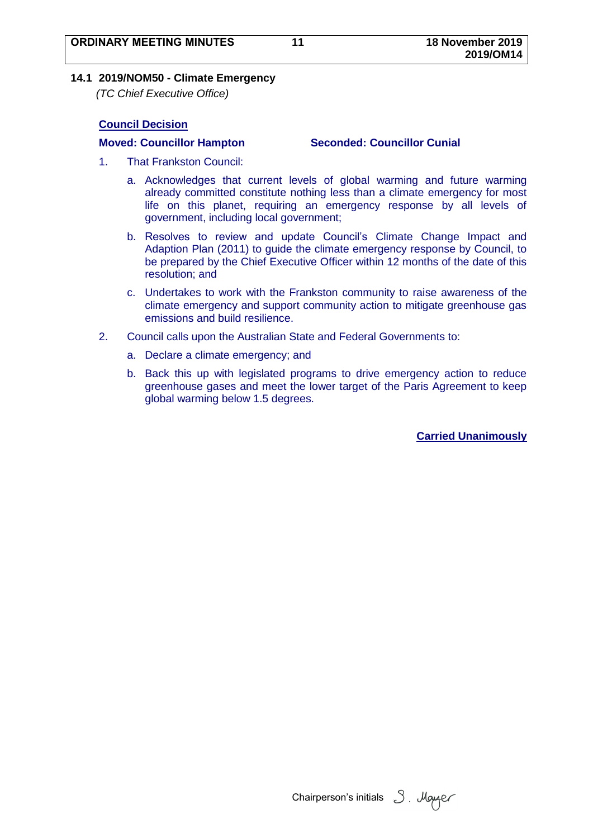### <span id="page-12-0"></span>**14.1 2019/NOM50 - Climate Emergency**

*(TC Chief Executive Office)*

## **Council Decision**

#### **Moved: Councillor Hampton Seconded: Councillor Cunial**

- 1. That Frankston Council:
	- a. Acknowledges that current levels of global warming and future warming already committed constitute nothing less than a climate emergency for most life on this planet, requiring an emergency response by all levels of government, including local government;
	- b. Resolves to review and update Council's Climate Change Impact and Adaption Plan (2011) to guide the climate emergency response by Council, to be prepared by the Chief Executive Officer within 12 months of the date of this resolution; and
	- c. Undertakes to work with the Frankston community to raise awareness of the climate emergency and support community action to mitigate greenhouse gas emissions and build resilience.
- 2. Council calls upon the Australian State and Federal Governments to:
	- a. Declare a climate emergency; and
	- b. Back this up with legislated programs to drive emergency action to reduce greenhouse gases and meet the lower target of the Paris Agreement to keep global warming below 1.5 degrees.

Chairperson's initials 3. Mayor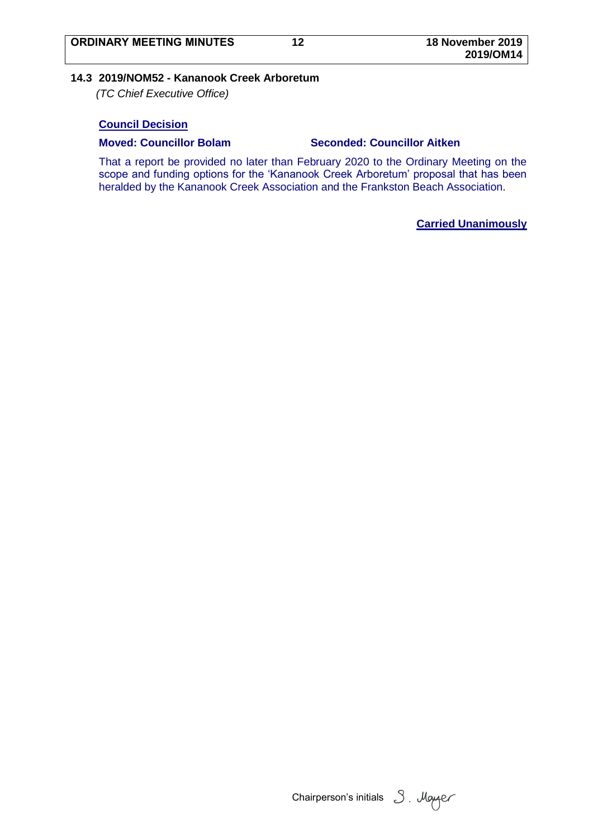#### <span id="page-13-0"></span>**14.3 2019/NOM52 - Kananook Creek Arboretum**

*(TC Chief Executive Office)*

#### **Council Decision**

#### **Moved: Councillor Bolam Seconded: Councillor Aitken**

That a report be provided no later than February 2020 to the Ordinary Meeting on the scope and funding options for the 'Kananook Creek Arboretum' proposal that has been heralded by the Kananook Creek Association and the Frankston Beach Association.

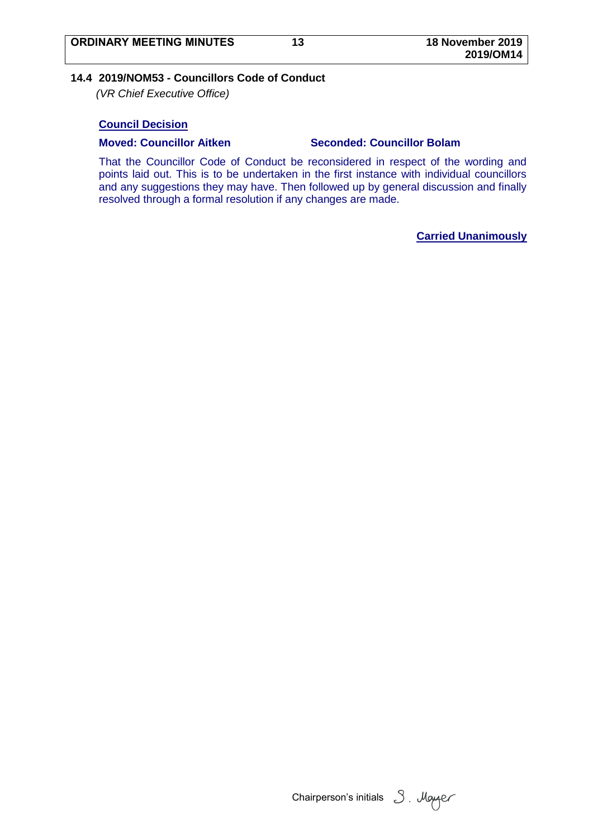#### <span id="page-14-0"></span>**14.4 2019/NOM53 - Councillors Code of Conduct**

*(VR Chief Executive Office)*

#### **Council Decision**

#### **Moved: Councillor Aitken Seconded: Councillor Bolam**

That the Councillor Code of Conduct be reconsidered in respect of the wording and points laid out. This is to be undertaken in the first instance with individual councillors and any suggestions they may have. Then followed up by general discussion and finally resolved through a formal resolution if any changes are made.

Chairperson's initials 3. Mayaer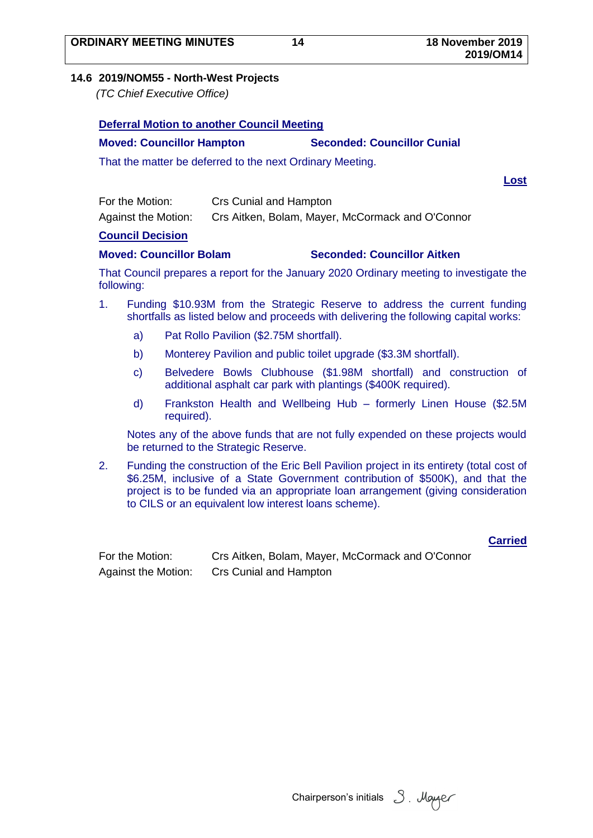**2019/OM14**

#### <span id="page-15-0"></span>**14.6 2019/NOM55 - North-West Projects**

*(TC Chief Executive Office)*

|     |  | Deferral Motion to another Council Meeting |  |  |  |
|-----|--|--------------------------------------------|--|--|--|
|     |  |                                            |  |  |  |
| . . |  |                                            |  |  |  |

# **Moved: Councillor Hampton Seconded: Councillor Cunial**

That the matter be deferred to the next Ordinary Meeting.

**Deferral Motion to another Council Meeting**

**Lost**

| For the Motion:            | <b>Crs Cunial and Hampton</b>                    |
|----------------------------|--------------------------------------------------|
| <b>Against the Motion:</b> | Crs Aitken, Bolam, Mayer, McCormack and O'Connor |

#### **Council Decision**

## **Moved: Councillor Bolam Seconded: Councillor Aitken**

That Council prepares a report for the January 2020 Ordinary meeting to investigate the following:

- 1. Funding \$10.93M from the Strategic Reserve to address the current funding shortfalls as listed below and proceeds with delivering the following capital works:
	- a) Pat Rollo Pavilion (\$2.75M shortfall).
	- b) Monterey Pavilion and public toilet upgrade (\$3.3M shortfall).
	- c) Belvedere Bowls Clubhouse (\$1.98M shortfall) and construction of additional asphalt car park with plantings (\$400K required).
	- d) Frankston Health and Wellbeing Hub formerly Linen House (\$2.5M required).

Notes any of the above funds that are not fully expended on these projects would be returned to the Strategic Reserve.

2. Funding the construction of the Eric Bell Pavilion project in its entirety (total cost of \$6.25M, inclusive of a State Government contribution of \$500K), and that the project is to be funded via an appropriate loan arrangement (giving consideration to CILS or an equivalent low interest loans scheme).

#### **Carried**

| For the Motion:     | Crs Aitken, Bolam, Mayer, McCormack and O'Connor |
|---------------------|--------------------------------------------------|
| Against the Motion: | Crs Cunial and Hampton                           |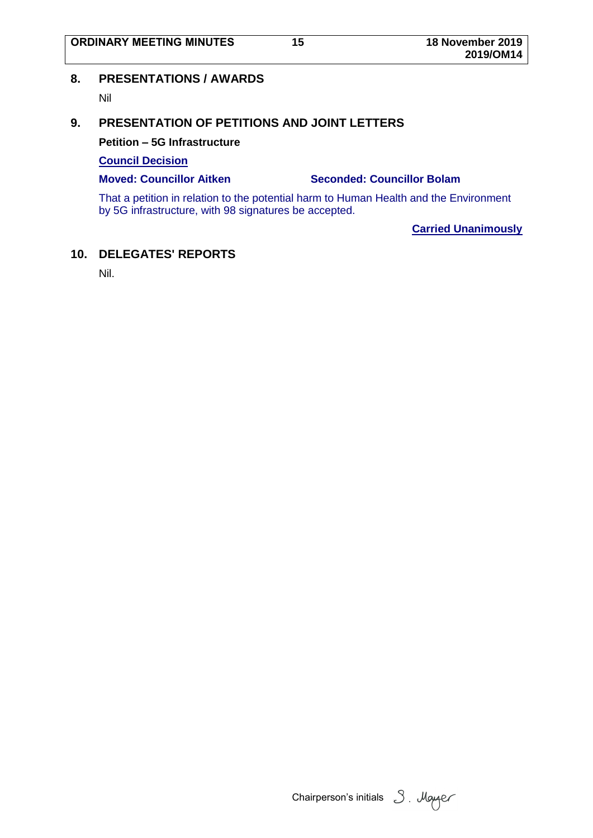**2019/OM14**

## <span id="page-16-0"></span>**8. PRESENTATIONS / AWARDS**

Nil

# <span id="page-16-1"></span>**9. PRESENTATION OF PETITIONS AND JOINT LETTERS**

**Petition – 5G Infrastructure**

### **Council Decision**

#### **Moved: Councillor Aitken Seconded: Councillor Bolam**

That a petition in relation to the potential harm to Human Health and the Environment by 5G infrastructure, with 98 signatures be accepted.

**Carried Unanimously**

## <span id="page-16-2"></span>**10. DELEGATES' REPORTS**

Nil.

Chairperson's initials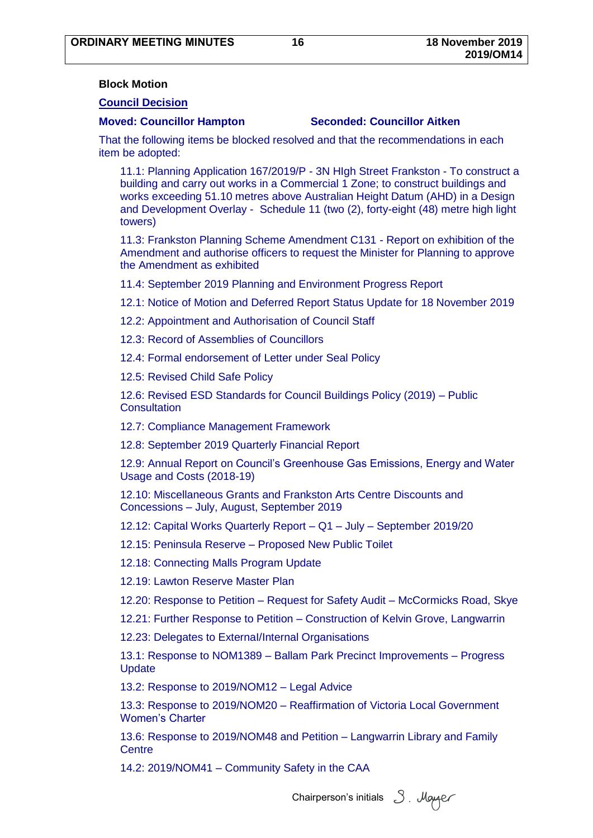#### <span id="page-17-0"></span>**Block Motion**

#### **Council Decision**

#### **Moved: Councillor Hampton Seconded: Councillor Aitken**

That the following items be blocked resolved and that the recommendations in each item be adopted:

11.1: Planning Application 167/2019/P - 3N HIgh Street Frankston - To construct a building and carry out works in a Commercial 1 Zone; to construct buildings and works exceeding 51.10 metres above Australian Height Datum (AHD) in a Design and Development Overlay - Schedule 11 (two (2), forty-eight (48) metre high light towers)

11.3: Frankston Planning Scheme Amendment C131 - Report on exhibition of the Amendment and authorise officers to request the Minister for Planning to approve the Amendment as exhibited

11.4: September 2019 Planning and Environment Progress Report

12.1: Notice of Motion and Deferred Report Status Update for 18 November 2019

12.2: Appointment and Authorisation of Council Staff

12.3: Record of Assemblies of Councillors

12.4: Formal endorsement of Letter under Seal Policy

12.5: Revised Child Safe Policy

12.6: Revised ESD Standards for Council Buildings Policy (2019) – Public **Consultation** 

12.7: Compliance Management Framework

12.8: September 2019 Quarterly Financial Report

12.9: Annual Report on Council's Greenhouse Gas Emissions, Energy and Water Usage and Costs (2018-19)

12.10: Miscellaneous Grants and Frankston Arts Centre Discounts and Concessions – July, August, September 2019

12.12: Capital Works Quarterly Report – Q1 – July – September 2019/20

12.15: Peninsula Reserve – Proposed New Public Toilet

12.18: Connecting Malls Program Update

12.19: Lawton Reserve Master Plan

12.20: Response to Petition – Request for Safety Audit – McCormicks Road, Skye

12.21: Further Response to Petition – Construction of Kelvin Grove, Langwarrin

12.23: Delegates to ExternaI/Internal Organisations

13.1: Response to NOM1389 – Ballam Park Precinct Improvements – Progress **Update** 

13.2: Response to 2019/NOM12 – Legal Advice

13.3: Response to 2019/NOM20 – Reaffirmation of Victoria Local Government Women's Charter

13.6: Response to 2019/NOM48 and Petition – Langwarrin Library and Family Centre

14.2: 2019/NOM41 – Community Safety in the CAA

Chairperson's initials  $\beta$ . Mayaer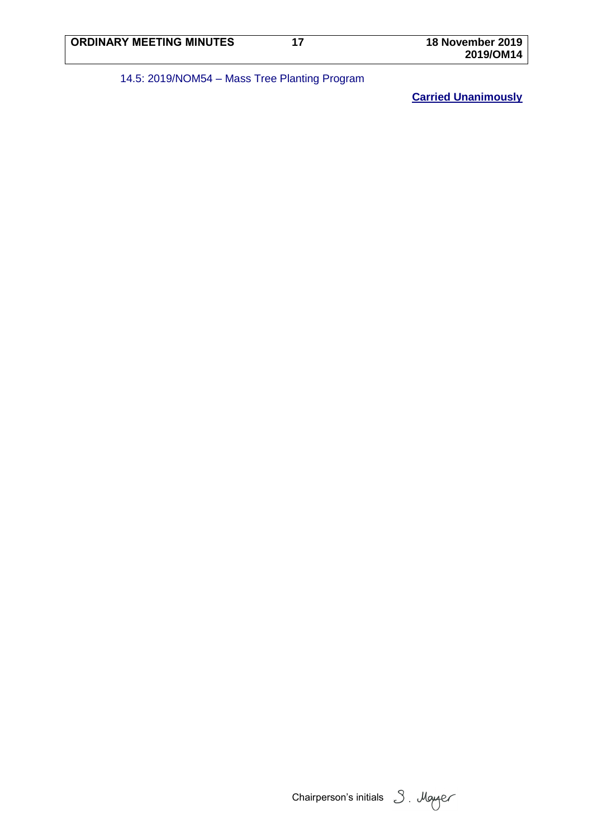# 14.5: 2019/NOM54 – Mass Tree Planting Program

Chairperson's initials 3. Mayer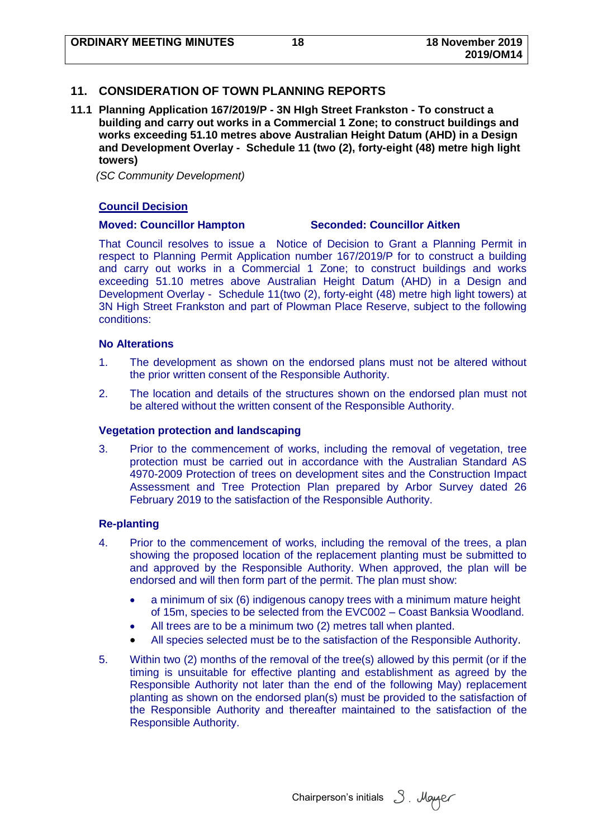## <span id="page-19-0"></span>**11. CONSIDERATION OF TOWN PLANNING REPORTS**

<span id="page-19-1"></span>**11.1 Planning Application 167/2019/P - 3N HIgh Street Frankston - To construct a building and carry out works in a Commercial 1 Zone; to construct buildings and works exceeding 51.10 metres above Australian Height Datum (AHD) in a Design and Development Overlay - Schedule 11 (two (2), forty-eight (48) metre high light towers)**

*(SC Community Development)*

#### **Council Decision**

### **Moved: Councillor Hampton Seconded: Councillor Aitken**

That Council resolves to issue a Notice of Decision to Grant a Planning Permit in respect to Planning Permit Application number 167/2019/P for to construct a building and carry out works in a Commercial 1 Zone; to construct buildings and works exceeding 51.10 metres above Australian Height Datum (AHD) in a Design and Development Overlay - Schedule 11(two (2), forty-eight (48) metre high light towers) at 3N High Street Frankston and part of Plowman Place Reserve, subject to the following conditions:

#### **No Alterations**

- 1. The development as shown on the endorsed plans must not be altered without the prior written consent of the Responsible Authority.
- 2. The location and details of the structures shown on the endorsed plan must not be altered without the written consent of the Responsible Authority.

#### **Vegetation protection and landscaping**

3. Prior to the commencement of works, including the removal of vegetation, tree protection must be carried out in accordance with the Australian Standard AS 4970-2009 Protection of trees on development sites and the Construction Impact Assessment and Tree Protection Plan prepared by Arbor Survey dated 26 February 2019 to the satisfaction of the Responsible Authority.

#### **Re-planting**

- 4. Prior to the commencement of works, including the removal of the trees, a plan showing the proposed location of the replacement planting must be submitted to and approved by the Responsible Authority. When approved, the plan will be endorsed and will then form part of the permit. The plan must show:
	- a minimum of six (6) indigenous canopy trees with a minimum mature height of 15m, species to be selected from the EVC002 – Coast Banksia Woodland.
	- All trees are to be a minimum two (2) metres tall when planted.
	- All species selected must be to the satisfaction of the Responsible Authority.
- 5. Within two (2) months of the removal of the tree(s) allowed by this permit (or if the timing is unsuitable for effective planting and establishment as agreed by the Responsible Authority not later than the end of the following May) replacement planting as shown on the endorsed plan(s) must be provided to the satisfaction of the Responsible Authority and thereafter maintained to the satisfaction of the Responsible Authority.

Chairperson's initials 3. Mayer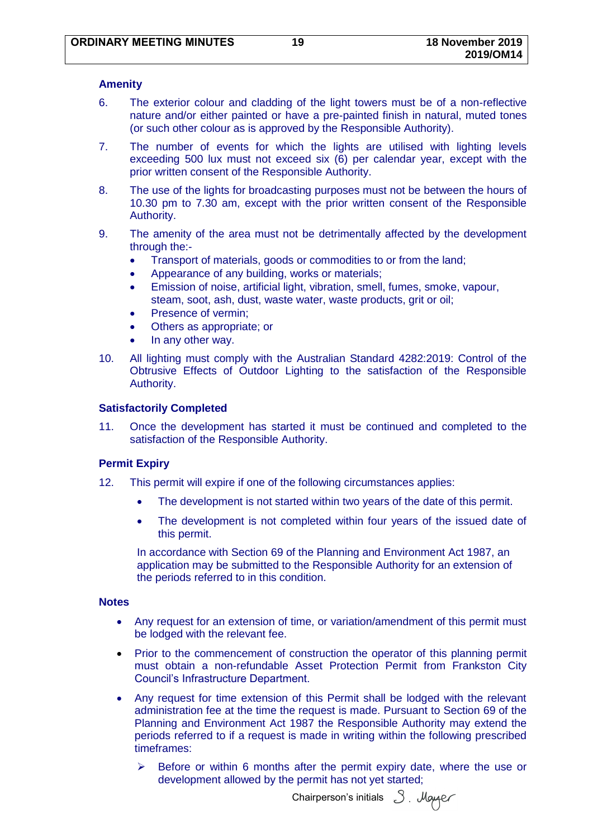#### **Amenity**

- 6. The exterior colour and cladding of the light towers must be of a non-reflective nature and/or either painted or have a pre-painted finish in natural, muted tones (or such other colour as is approved by the Responsible Authority).
- 7. The number of events for which the lights are utilised with lighting levels exceeding 500 lux must not exceed six (6) per calendar year, except with the prior written consent of the Responsible Authority.
- 8. The use of the lights for broadcasting purposes must not be between the hours of 10.30 pm to 7.30 am, except with the prior written consent of the Responsible Authority.
- 9. The amenity of the area must not be detrimentally affected by the development through the:-
	- Transport of materials, goods or commodities to or from the land;
	- Appearance of any building, works or materials;
	- Emission of noise, artificial light, vibration, smell, fumes, smoke, vapour, steam, soot, ash, dust, waste water, waste products, grit or oil;
	- Presence of vermin;
	- Others as appropriate; or
	- In any other way.
- 10. All lighting must comply with the Australian Standard 4282:2019: Control of the Obtrusive Effects of Outdoor Lighting to the satisfaction of the Responsible Authority.

### **Satisfactorily Completed**

11. Once the development has started it must be continued and completed to the satisfaction of the Responsible Authority.

#### **Permit Expiry**

- 12. This permit will expire if one of the following circumstances applies:
	- The development is not started within two years of the date of this permit.
	- The development is not completed within four years of the issued date of this permit.

In accordance with Section 69 of the Planning and Environment Act 1987, an application may be submitted to the Responsible Authority for an extension of the periods referred to in this condition.

#### **Notes**

- Any request for an extension of time, or variation/amendment of this permit must be lodged with the relevant fee.
- Prior to the commencement of construction the operator of this planning permit must obtain a non-refundable Asset Protection Permit from Frankston City Council's Infrastructure Department.
- Any request for time extension of this Permit shall be lodged with the relevant administration fee at the time the request is made. Pursuant to Section 69 of the Planning and Environment Act 1987 the Responsible Authority may extend the periods referred to if a request is made in writing within the following prescribed timeframes:
	- $\triangleright$  Before or within 6 months after the permit expiry date, where the use or development allowed by the permit has not yet started;

Chairperson's initials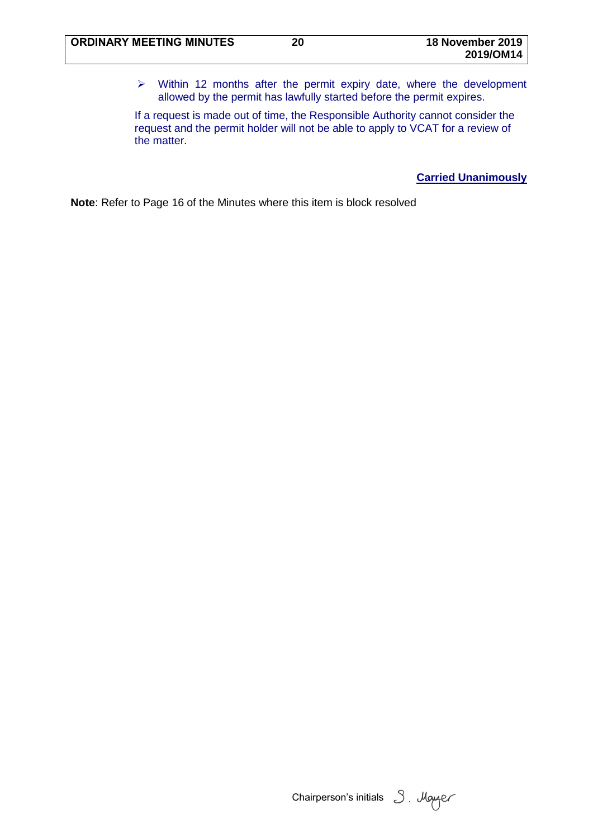$\triangleright$  Within 12 months after the permit expiry date, where the development allowed by the permit has lawfully started before the permit expires.

If a request is made out of time, the Responsible Authority cannot consider the request and the permit holder will not be able to apply to VCAT for a review of the matter.

**Carried Unanimously**

Chairperson's initials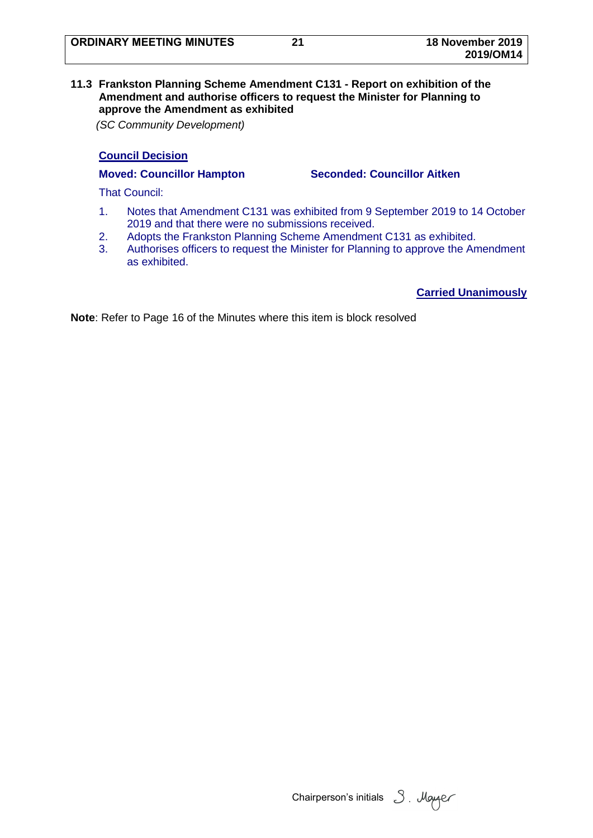### <span id="page-22-0"></span>**11.3 Frankston Planning Scheme Amendment C131 - Report on exhibition of the Amendment and authorise officers to request the Minister for Planning to approve the Amendment as exhibited**

*(SC Community Development)*

## **Council Decision**

**Moved: Councillor Hampton Seconded: Councillor Aitken**

That Council:

- 1. Notes that Amendment C131 was exhibited from 9 September 2019 to 14 October 2019 and that there were no submissions received.
- 2. Adopts the Frankston Planning Scheme Amendment C131 as exhibited.
- 3. Authorises officers to request the Minister for Planning to approve the Amendment as exhibited.

**Carried Unanimously**

Chairperson's initials 3. Mayer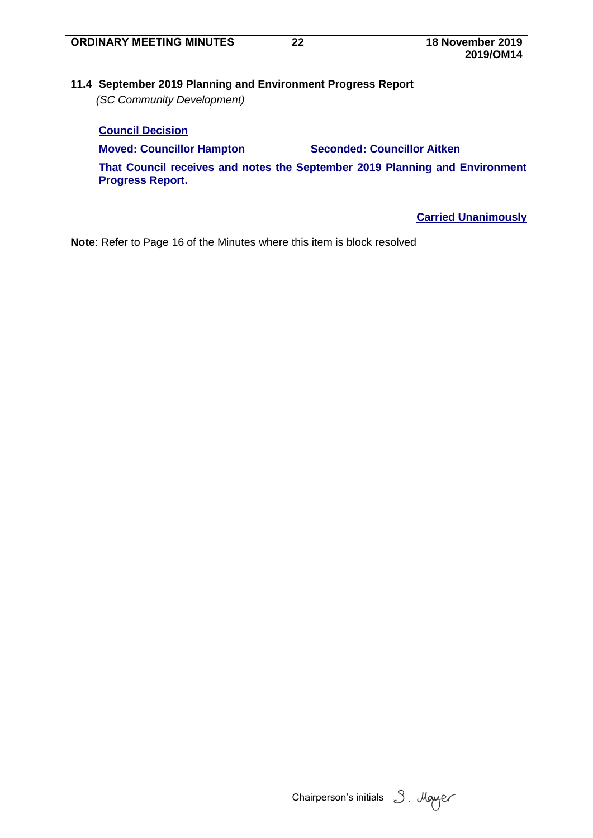## <span id="page-23-0"></span>**11.4 September 2019 Planning and Environment Progress Report** *(SC Community Development)*

**Council Decision Moved: Councillor Hampton Seconded: Councillor Aitken That Council receives and notes the September 2019 Planning and Environment Progress Report.**

**Carried Unanimously**

Chairperson's initials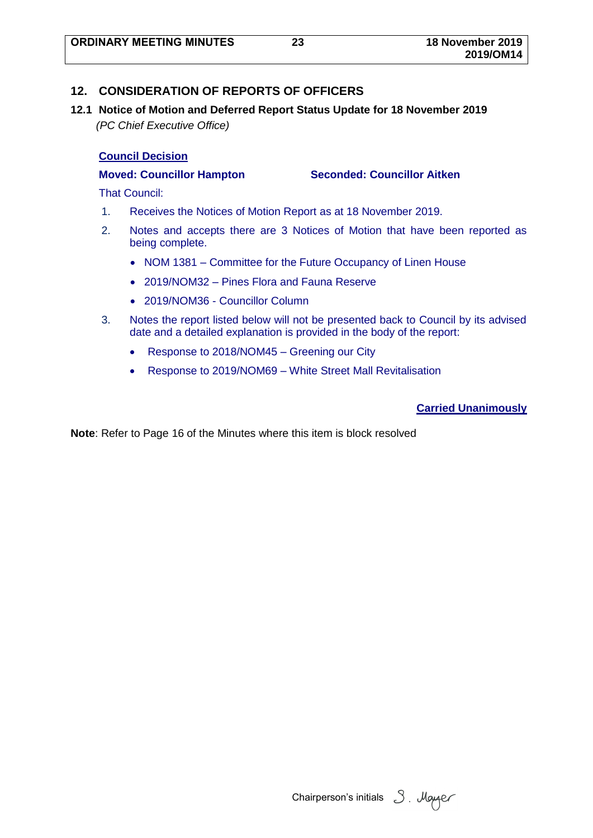## <span id="page-24-0"></span>**12. CONSIDERATION OF REPORTS OF OFFICERS**

<span id="page-24-1"></span>**12.1 Notice of Motion and Deferred Report Status Update for 18 November 2019** *(PC Chief Executive Office)*

### **Council Decision**

**Moved: Councillor Hampton Seconded: Councillor Aitken**

That Council:

- 1. Receives the Notices of Motion Report as at 18 November 2019.
- 2. Notes and accepts there are 3 Notices of Motion that have been reported as being complete.
	- NOM 1381 Committee for the Future Occupancy of Linen House
	- 2019/NOM32 Pines Flora and Fauna Reserve
	- 2019/NOM36 Councillor Column
- 3. Notes the report listed below will not be presented back to Council by its advised date and a detailed explanation is provided in the body of the report:
	- Response to 2018/NOM45 Greening our City
	- Response to 2019/NOM69 White Street Mall Revitalisation

## **Carried Unanimously**

Chairperson's initials 3. Mayer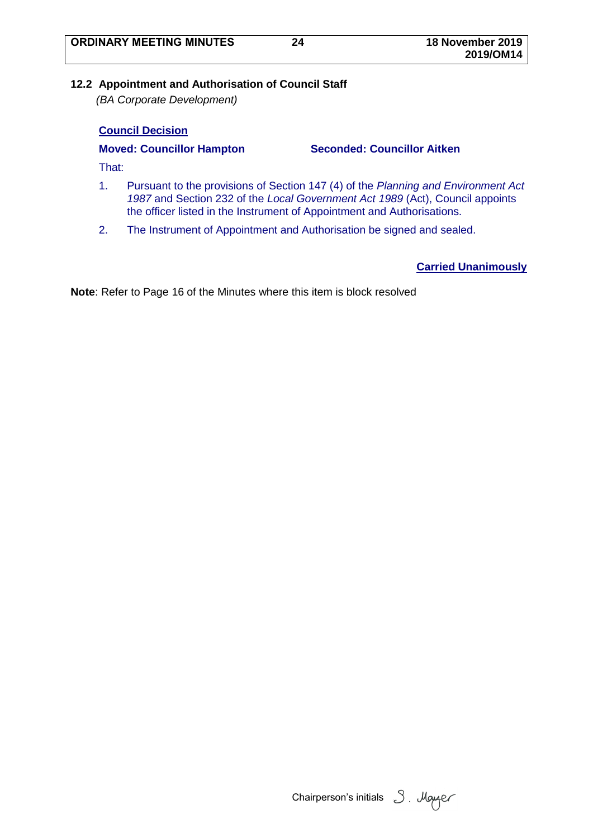## <span id="page-25-0"></span>**12.2 Appointment and Authorisation of Council Staff**

*(BA Corporate Development)*

## **Council Decision**

**Moved: Councillor Hampton Seconded: Councillor Aitken**

That:

- 1. Pursuant to the provisions of Section 147 (4) of the *Planning and Environment Act 1987* and Section 232 of the *Local Government Act 1989* (Act), Council appoints the officer listed in the Instrument of Appointment and Authorisations.
- 2. The Instrument of Appointment and Authorisation be signed and sealed.

**Carried Unanimously**

Chairperson's initials 3. Moyer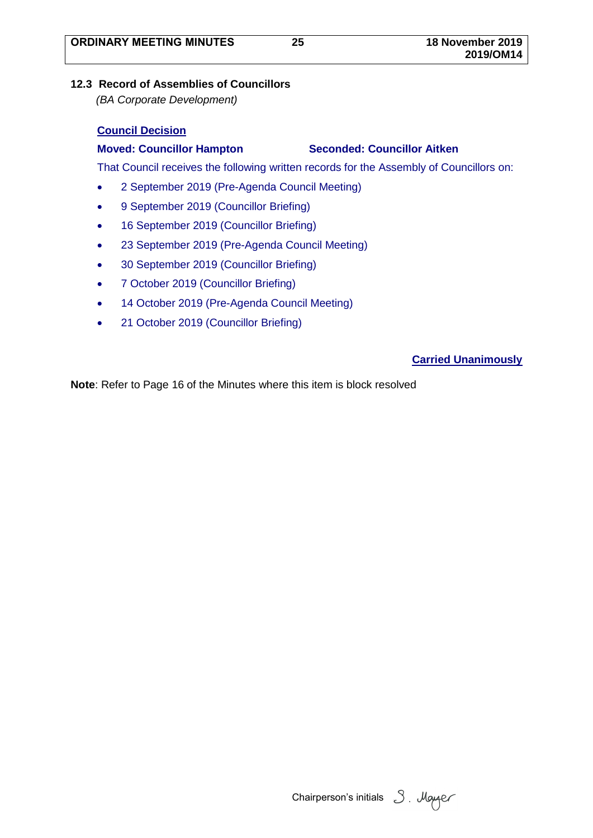# <span id="page-26-0"></span>**12.3 Record of Assemblies of Councillors**

*(BA Corporate Development)*

# **Council Decision**

# **Moved: Councillor Hampton Seconded: Councillor Aitken**

That Council receives the following written records for the Assembly of Councillors on:

- 2 September 2019 (Pre-Agenda Council Meeting)
- 9 September 2019 (Councillor Briefing)
- 16 September 2019 (Councillor Briefing)
- 23 September 2019 (Pre-Agenda Council Meeting)
- 30 September 2019 (Councillor Briefing)
- 7 October 2019 (Councillor Briefing)
- 14 October 2019 (Pre-Agenda Council Meeting)
- 21 October 2019 (Councillor Briefing)

# **Carried Unanimously**

Chairperson's initials 3. Mayaer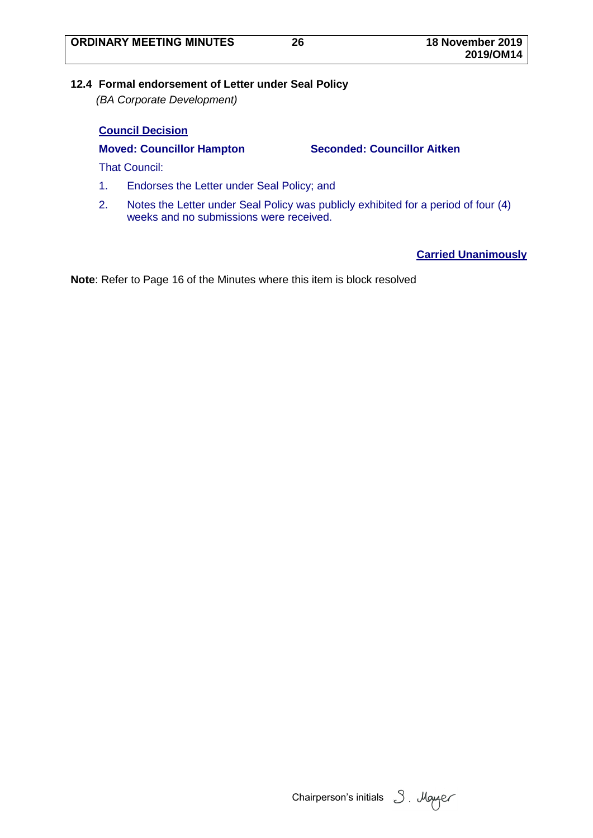## <span id="page-27-0"></span>**12.4 Formal endorsement of Letter under Seal Policy**

*(BA Corporate Development)*

## **Council Decision**

**Moved: Councillor Hampton Seconded: Councillor Aitken**

That Council:

- 1. Endorses the Letter under Seal Policy; and
- 2. Notes the Letter under Seal Policy was publicly exhibited for a period of four (4) weeks and no submissions were received.

**Carried Unanimously**

Chairperson's initials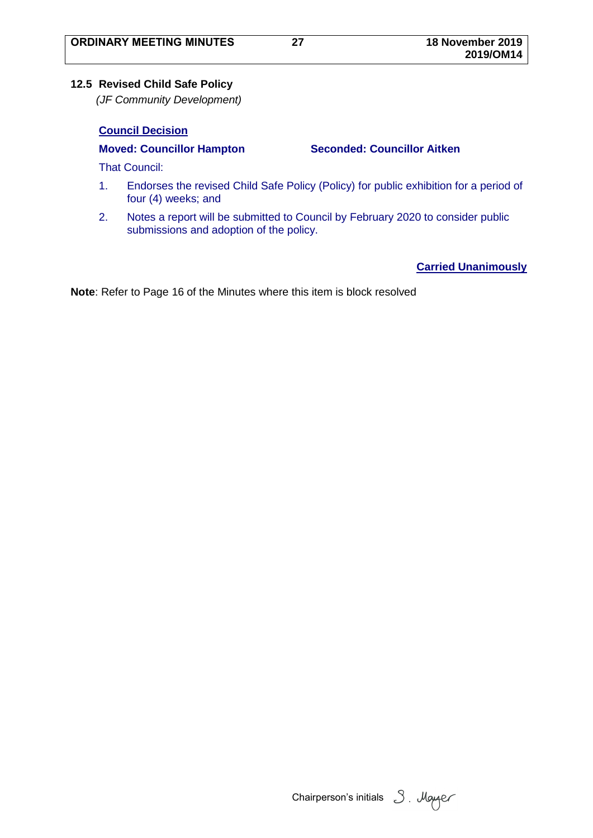## <span id="page-28-0"></span>**12.5 Revised Child Safe Policy**

*(JF Community Development)*

## **Council Decision**

**Moved: Councillor Hampton Seconded: Councillor Aitken**

That Council:

- 1. Endorses the revised Child Safe Policy (Policy) for public exhibition for a period of four (4) weeks; and
- 2. Notes a report will be submitted to Council by February 2020 to consider public submissions and adoption of the policy.

**Carried Unanimously**

Chairperson's initials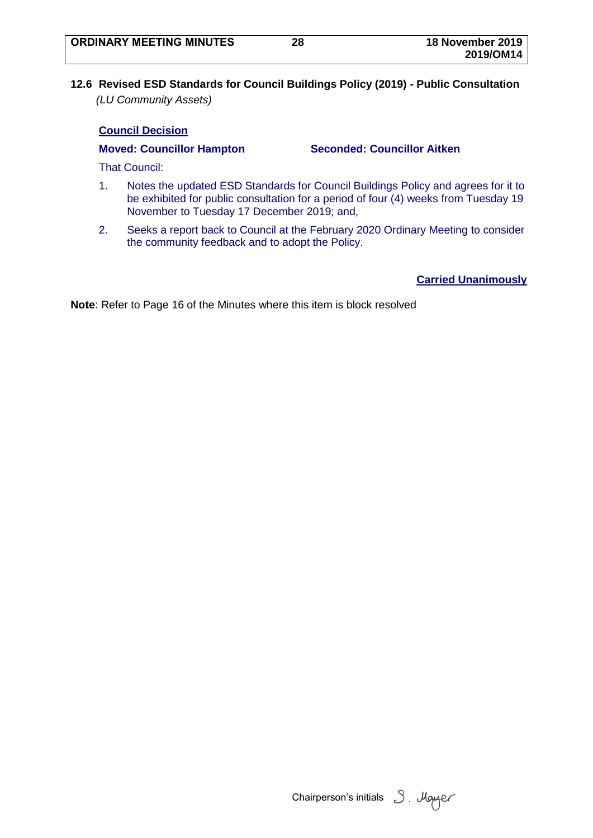<span id="page-29-0"></span>**12.6 Revised ESD Standards for Council Buildings Policy (2019) - Public Consultation** *(LU Community Assets)*

### **Council Decision**

**Moved: Councillor Hampton Seconded: Councillor Aitken**

That Council:

- 1. Notes the updated ESD Standards for Council Buildings Policy and agrees for it to be exhibited for public consultation for a period of four (4) weeks from Tuesday 19 November to Tuesday 17 December 2019; and,
- 2. Seeks a report back to Council at the February 2020 Ordinary Meeting to consider the community feedback and to adopt the Policy.

**Carried Unanimously**

Chairperson's initials 3. Mayaer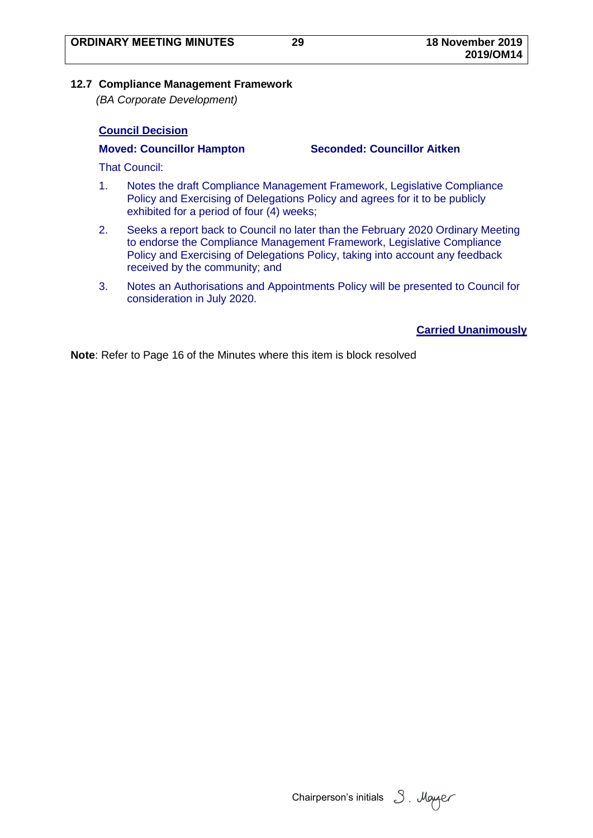#### <span id="page-30-0"></span>**12.7 Compliance Management Framework**

*(BA Corporate Development)*

## **Council Decision**

**Moved: Councillor Hampton Seconded: Councillor Aitken**

That Council:

- 1. Notes the draft Compliance Management Framework, Legislative Compliance Policy and Exercising of Delegations Policy and agrees for it to be publicly exhibited for a period of four (4) weeks;
- 2. Seeks a report back to Council no later than the February 2020 Ordinary Meeting to endorse the Compliance Management Framework, Legislative Compliance Policy and Exercising of Delegations Policy, taking into account any feedback received by the community; and
- 3. Notes an Authorisations and Appointments Policy will be presented to Council for consideration in July 2020.

## **Carried Unanimously**

Chairperson's initials 3. Mayer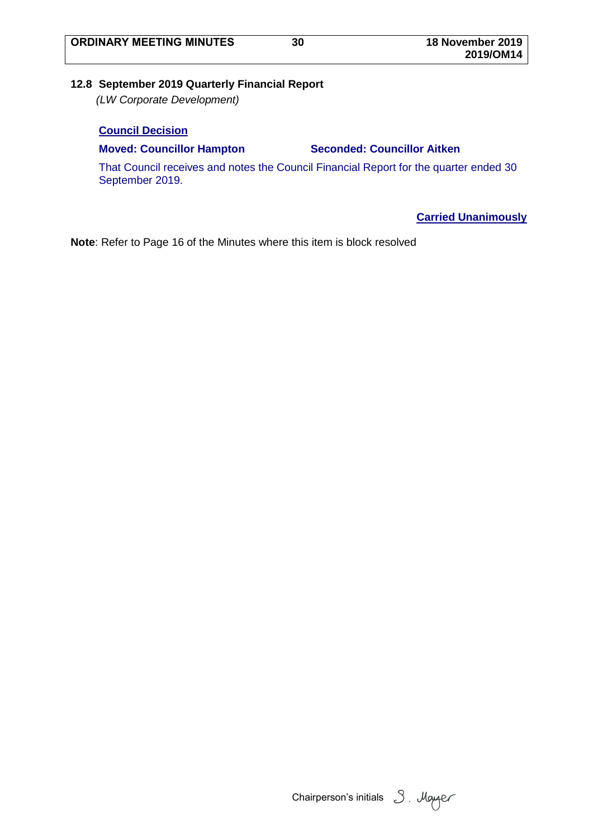## <span id="page-31-0"></span>**12.8 September 2019 Quarterly Financial Report**

*(LW Corporate Development)*

## **Council Decision**

### **Moved: Councillor Hampton Seconded: Councillor Aitken**

That Council receives and notes the Council Financial Report for the quarter ended 30 September 2019.

**Carried Unanimously**

Chairperson's initials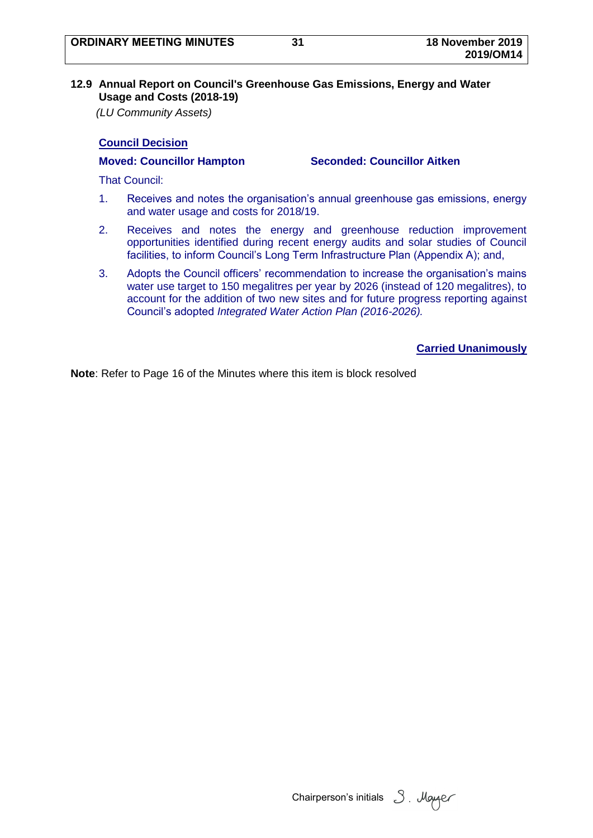#### <span id="page-32-0"></span>**12.9 Annual Report on Council's Greenhouse Gas Emissions, Energy and Water Usage and Costs (2018-19)**

*(LU Community Assets)*

## **Council Decision**

**Moved: Councillor Hampton Seconded: Councillor Aitken**

That Council:

- 1. Receives and notes the organisation's annual greenhouse gas emissions, energy and water usage and costs for 2018/19.
- 2. Receives and notes the energy and greenhouse reduction improvement opportunities identified during recent energy audits and solar studies of Council facilities, to inform Council's Long Term Infrastructure Plan (Appendix A); and,
- 3. Adopts the Council officers' recommendation to increase the organisation's mains water use target to 150 megalitres per year by 2026 (instead of 120 megalitres), to account for the addition of two new sites and for future progress reporting against Council's adopted *Integrated Water Action Plan (2016-2026).*

**Carried Unanimously**

Chairperson's initials  $3$ . Mayaer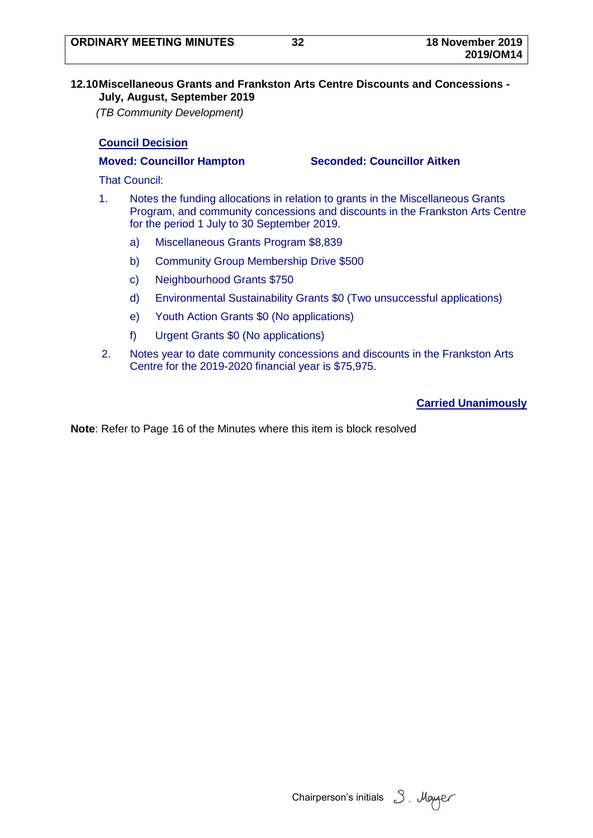## <span id="page-33-0"></span>**12.10Miscellaneous Grants and Frankston Arts Centre Discounts and Concessions - July, August, September 2019**

*(TB Community Development)*

# **Council Decision**

**Moved: Councillor Hampton Seconded: Councillor Aitken**

That Council:

- 1. Notes the funding allocations in relation to grants in the Miscellaneous Grants Program, and community concessions and discounts in the Frankston Arts Centre for the period 1 July to 30 September 2019.
	- a) Miscellaneous Grants Program \$8,839
	- b) Community Group Membership Drive \$500
	- c) Neighbourhood Grants \$750
	- d) Environmental Sustainability Grants \$0 (Two unsuccessful applications)
	- e) Youth Action Grants \$0 (No applications)
	- f) Urgent Grants \$0 (No applications)
- 2. Notes year to date community concessions and discounts in the Frankston Arts Centre for the 2019-2020 financial year is \$75,975.

**Carried Unanimously**

Chairperson's initials  $\beta$ . Mayaer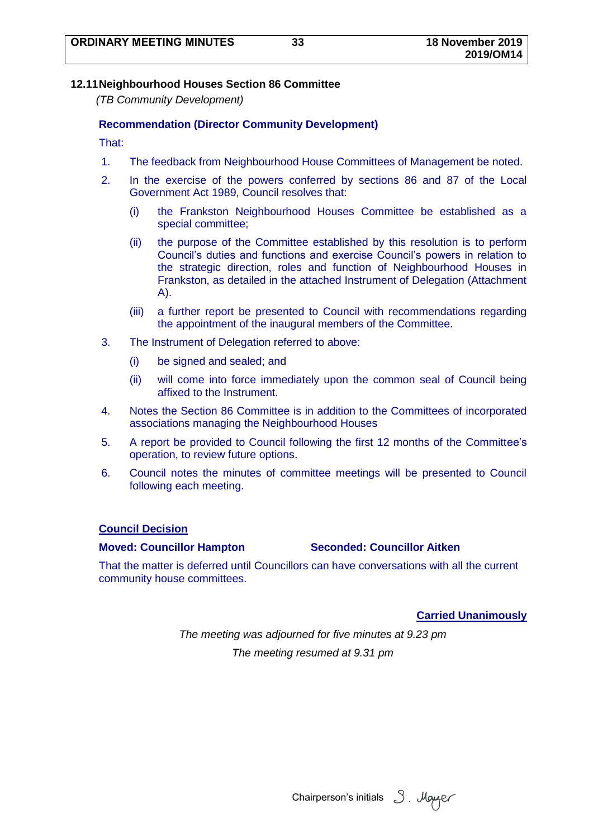### <span id="page-34-0"></span>**12.11Neighbourhood Houses Section 86 Committee**

*(TB Community Development)*

#### **Recommendation (Director Community Development)**

That:

- 1. The feedback from Neighbourhood House Committees of Management be noted.
- 2. In the exercise of the powers conferred by sections 86 and 87 of the Local Government Act 1989, Council resolves that:
	- (i) the Frankston Neighbourhood Houses Committee be established as a special committee;
	- (ii) the purpose of the Committee established by this resolution is to perform Council's duties and functions and exercise Council's powers in relation to the strategic direction, roles and function of Neighbourhood Houses in Frankston, as detailed in the attached Instrument of Delegation (Attachment A).
	- (iii) a further report be presented to Council with recommendations regarding the appointment of the inaugural members of the Committee.
- 3. The Instrument of Delegation referred to above:
	- (i) be signed and sealed; and
	- (ii) will come into force immediately upon the common seal of Council being affixed to the Instrument.
- 4. Notes the Section 86 Committee is in addition to the Committees of incorporated associations managing the Neighbourhood Houses
- 5. A report be provided to Council following the first 12 months of the Committee's operation, to review future options.
- 6. Council notes the minutes of committee meetings will be presented to Council following each meeting.

#### **Council Decision**

#### **Moved: Councillor Hampton Seconded: Councillor Aitken**

That the matter is deferred until Councillors can have conversations with all the current community house committees.

#### **Carried Unanimously**

*The meeting was adjourned for five minutes at 9.23 pm The meeting resumed at 9.31 pm*

Chairperson's initials 3. Mayer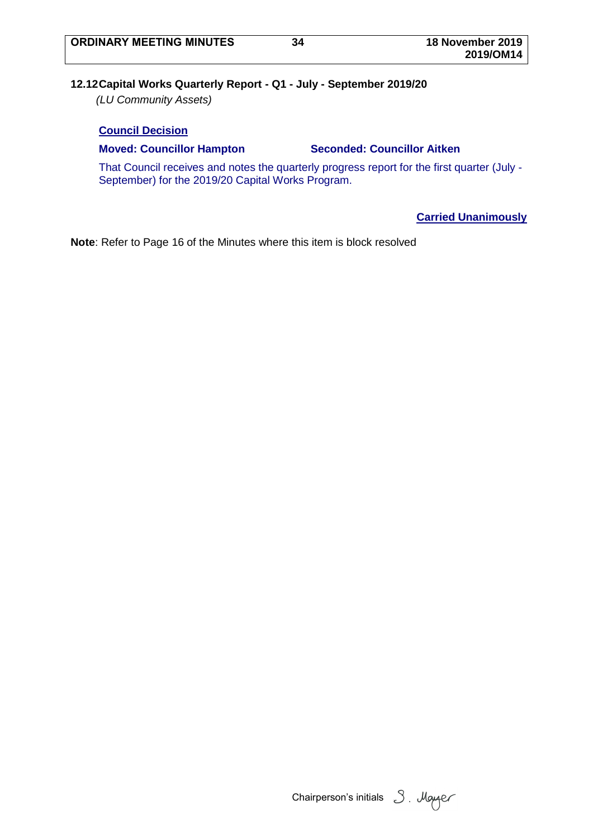# <span id="page-35-0"></span>**12.12Capital Works Quarterly Report - Q1 - July - September 2019/20**

*(LU Community Assets)*

## **Council Decision**

### **Moved: Councillor Hampton Seconded: Councillor Aitken**

That Council receives and notes the quarterly progress report for the first quarter (July - September) for the 2019/20 Capital Works Program.

## **Carried Unanimously**

Chairperson's initials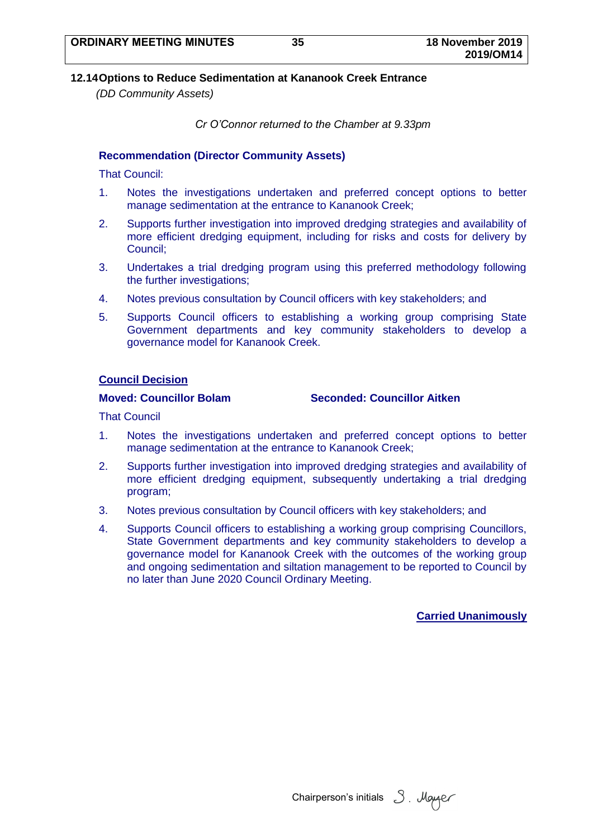## **12.14Options to Reduce Sedimentation at Kananook Creek Entrance**

*(DD Community Assets)*

*Cr O'Connor returned to the Chamber at 9.33pm*

## **Recommendation (Director Community Assets)**

That Council:

- 1. Notes the investigations undertaken and preferred concept options to better manage sedimentation at the entrance to Kananook Creek;
- 2. Supports further investigation into improved dredging strategies and availability of more efficient dredging equipment, including for risks and costs for delivery by Council;
- 3. Undertakes a trial dredging program using this preferred methodology following the further investigations;
- 4. Notes previous consultation by Council officers with key stakeholders; and
- 5. Supports Council officers to establishing a working group comprising State Government departments and key community stakeholders to develop a governance model for Kananook Creek.

### **Council Decision**

**Moved: Councillor Bolam Seconded: Councillor Aitken**

That Council

- 1. Notes the investigations undertaken and preferred concept options to better manage sedimentation at the entrance to Kananook Creek;
- 2. Supports further investigation into improved dredging strategies and availability of more efficient dredging equipment, subsequently undertaking a trial dredging program;
- 3. Notes previous consultation by Council officers with key stakeholders; and
- 4. Supports Council officers to establishing a working group comprising Councillors, State Government departments and key community stakeholders to develop a governance model for Kananook Creek with the outcomes of the working group and ongoing sedimentation and siltation management to be reported to Council by no later than June 2020 Council Ordinary Meeting.

#### **Carried Unanimously**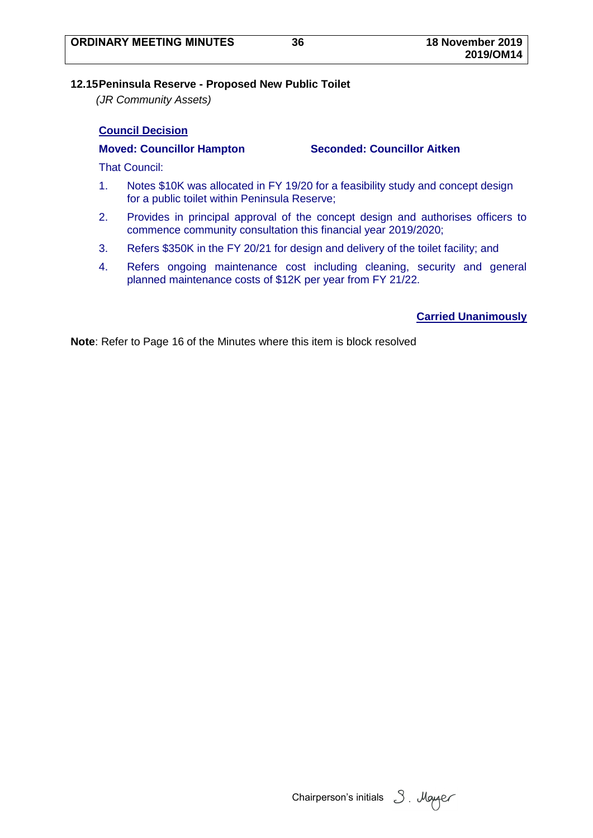## **12.15Peninsula Reserve - Proposed New Public Toilet**

*(JR Community Assets)*

## **Council Decision**

### **Moved: Councillor Hampton Seconded: Councillor Aitken**

That Council:

- 1. Notes \$10K was allocated in FY 19/20 for a feasibility study and concept design for a public toilet within Peninsula Reserve;
- 2. Provides in principal approval of the concept design and authorises officers to commence community consultation this financial year 2019/2020;
- 3. Refers \$350K in the FY 20/21 for design and delivery of the toilet facility; and
- 4. Refers ongoing maintenance cost including cleaning, security and general planned maintenance costs of \$12K per year from FY 21/22.

## **Carried Unanimously**

Chairperson's initials 3. Mayer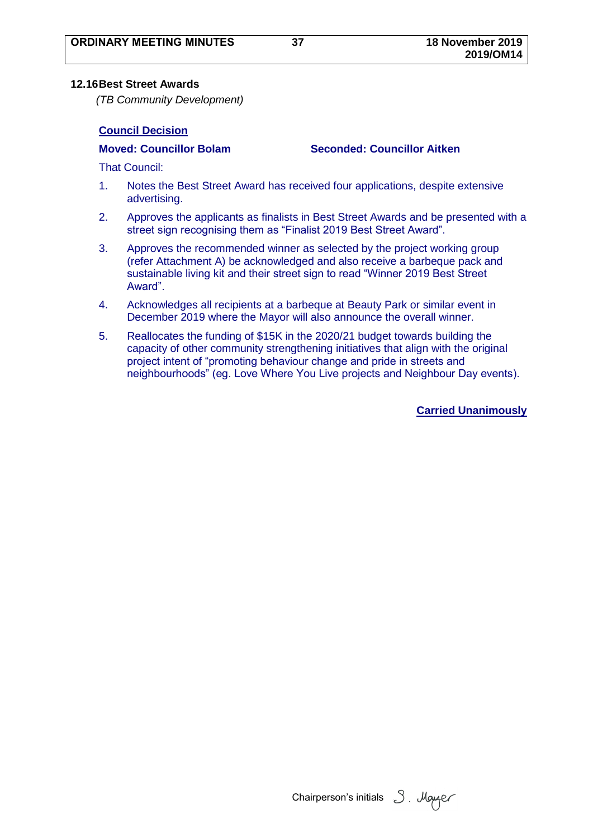## **12.16Best Street Awards**

*(TB Community Development)*

## **Council Decision**

**Moved: Councillor Bolam Seconded: Councillor Aitken**

That Council:

- 1. Notes the Best Street Award has received four applications, despite extensive advertising.
- 2. Approves the applicants as finalists in Best Street Awards and be presented with a street sign recognising them as "Finalist 2019 Best Street Award".
- 3. Approves the recommended winner as selected by the project working group (refer Attachment A) be acknowledged and also receive a barbeque pack and sustainable living kit and their street sign to read "Winner 2019 Best Street Award".
- 4. Acknowledges all recipients at a barbeque at Beauty Park or similar event in December 2019 where the Mayor will also announce the overall winner.
- 5. Reallocates the funding of \$15K in the 2020/21 budget towards building the capacity of other community strengthening initiatives that align with the original project intent of "promoting behaviour change and pride in streets and neighbourhoods" (eg. Love Where You Live projects and Neighbour Day events).

**Carried Unanimously**

Chairperson's initials  $3$ . Mayaer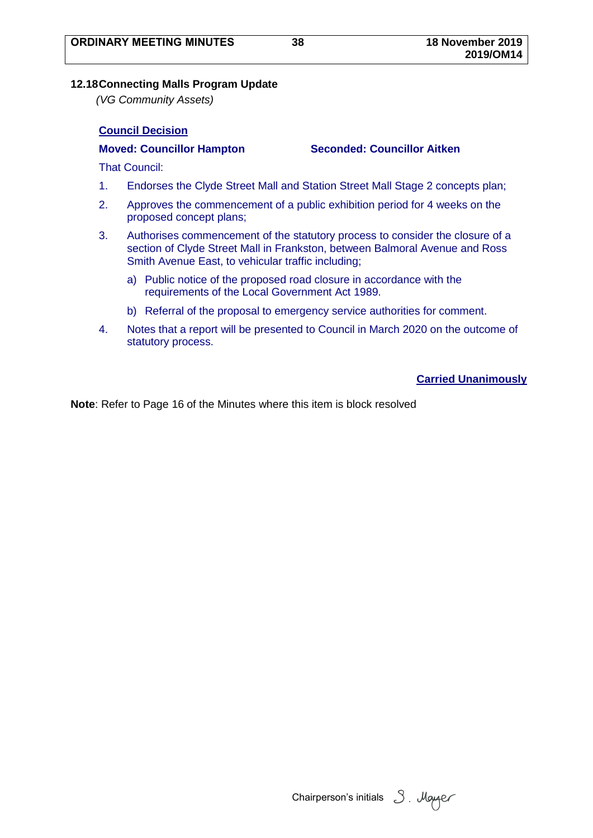## **12.18Connecting Malls Program Update**

*(VG Community Assets)*

## **Council Decision**

**Moved: Councillor Hampton Seconded: Councillor Aitken**

That Council:

- 1. Endorses the Clyde Street Mall and Station Street Mall Stage 2 concepts plan;
- 2. Approves the commencement of a public exhibition period for 4 weeks on the proposed concept plans;
- 3. Authorises commencement of the statutory process to consider the closure of a section of Clyde Street Mall in Frankston, between Balmoral Avenue and Ross Smith Avenue East, to vehicular traffic including;
	- a) Public notice of the proposed road closure in accordance with the requirements of the Local Government Act 1989.
	- b) Referral of the proposal to emergency service authorities for comment.
- 4. Notes that a report will be presented to Council in March 2020 on the outcome of statutory process.

## **Carried Unanimously**

Chairperson's initials 3. Mayer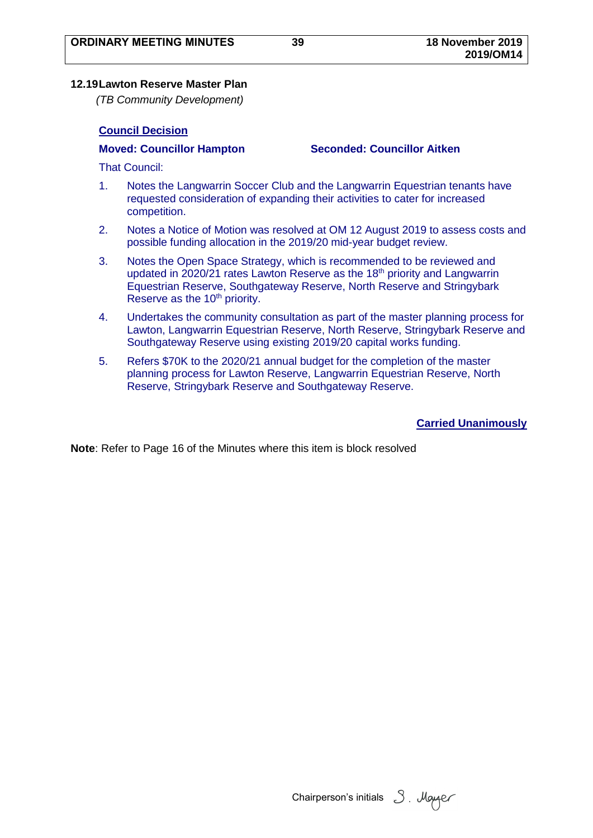## **12.19Lawton Reserve Master Plan**

*(TB Community Development)*

## **Council Decision**

**Moved: Councillor Hampton Seconded: Councillor Aitken**

That Council:

- 1. Notes the Langwarrin Soccer Club and the Langwarrin Equestrian tenants have requested consideration of expanding their activities to cater for increased competition.
- 2. Notes a Notice of Motion was resolved at OM 12 August 2019 to assess costs and possible funding allocation in the 2019/20 mid-year budget review.
- 3. Notes the Open Space Strategy, which is recommended to be reviewed and updated in 2020/21 rates Lawton Reserve as the 18<sup>th</sup> priority and Langwarrin Equestrian Reserve, Southgateway Reserve, North Reserve and Stringybark Reserve as the 10<sup>th</sup> priority.
- 4. Undertakes the community consultation as part of the master planning process for Lawton, Langwarrin Equestrian Reserve, North Reserve, Stringybark Reserve and Southgateway Reserve using existing 2019/20 capital works funding.
- 5. Refers \$70K to the 2020/21 annual budget for the completion of the master planning process for Lawton Reserve, Langwarrin Equestrian Reserve, North Reserve, Stringybark Reserve and Southgateway Reserve.

**Carried Unanimously**

Chairperson's initials 3. Mayer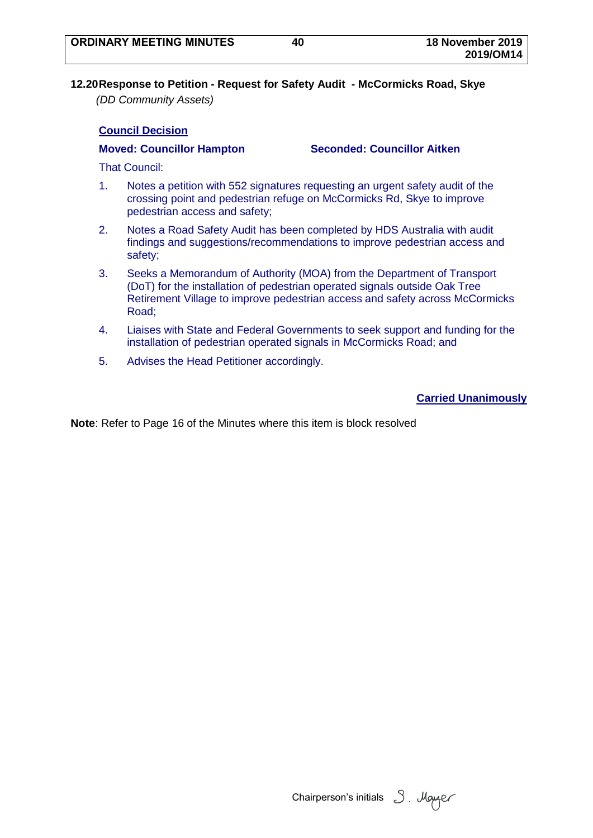**12.20Response to Petition - Request for Safety Audit - McCormicks Road, Skye** *(DD Community Assets)*

## **Council Decision**

### **Moved: Councillor Hampton Seconded: Councillor Aitken**

That Council:

- 1. Notes a petition with 552 signatures requesting an urgent safety audit of the crossing point and pedestrian refuge on McCormicks Rd, Skye to improve pedestrian access and safety;
- 2. Notes a Road Safety Audit has been completed by HDS Australia with audit findings and suggestions/recommendations to improve pedestrian access and safety;
- 3. Seeks a Memorandum of Authority (MOA) from the Department of Transport (DoT) for the installation of pedestrian operated signals outside Oak Tree Retirement Village to improve pedestrian access and safety across McCormicks Road;
- 4. Liaises with State and Federal Governments to seek support and funding for the installation of pedestrian operated signals in McCormicks Road; and
- 5. Advises the Head Petitioner accordingly.

## **Carried Unanimously**

Chairperson's initials  $3$ . Mayaer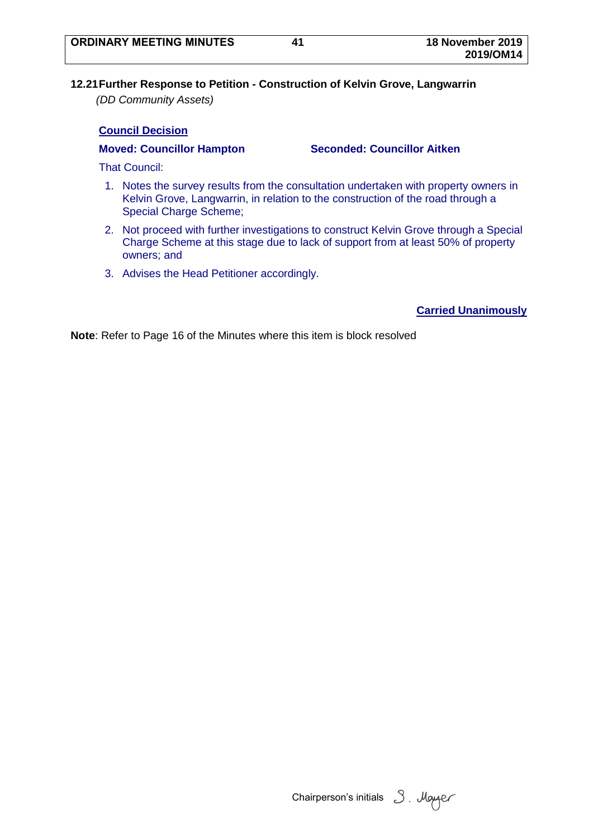# **12.21Further Response to Petition - Construction of Kelvin Grove, Langwarrin**

*(DD Community Assets)*

## **Council Decision**

## **Moved: Councillor Hampton Seconded: Councillor Aitken**

That Council:

- 1. Notes the survey results from the consultation undertaken with property owners in Kelvin Grove, Langwarrin, in relation to the construction of the road through a Special Charge Scheme;
- 2. Not proceed with further investigations to construct Kelvin Grove through a Special Charge Scheme at this stage due to lack of support from at least 50% of property owners; and
- 3. Advises the Head Petitioner accordingly.

# **Carried Unanimously**

Chairperson's initials 3. Mayer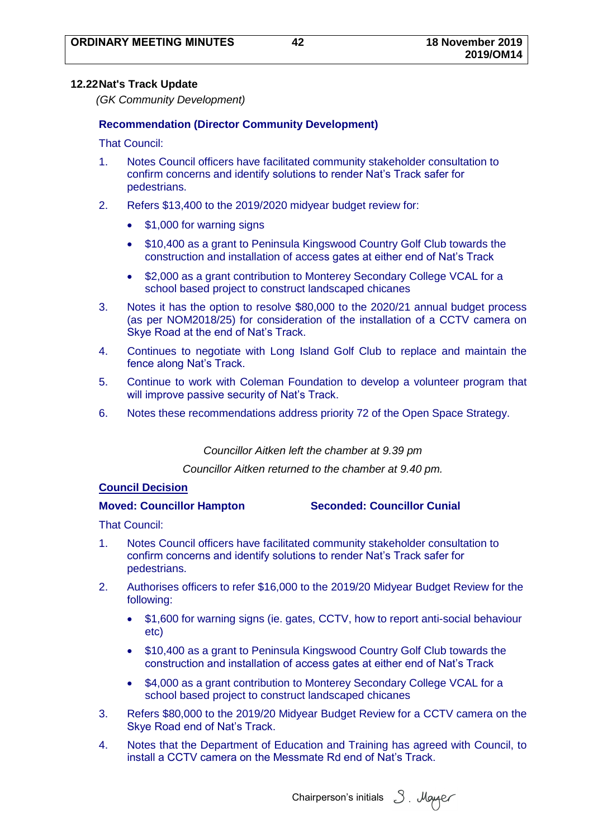## **12.22Nat's Track Update**

*(GK Community Development)*

## **Recommendation (Director Community Development)**

That Council:

- 1. Notes Council officers have facilitated community stakeholder consultation to confirm concerns and identify solutions to render Nat's Track safer for pedestrians.
- 2. Refers \$13,400 to the 2019/2020 midyear budget review for:
	- \$1,000 for warning signs
	- \$10,400 as a grant to Peninsula Kingswood Country Golf Club towards the construction and installation of access gates at either end of Nat's Track
	- \$2,000 as a grant contribution to Monterey Secondary College VCAL for a school based project to construct landscaped chicanes
- 3. Notes it has the option to resolve \$80,000 to the 2020/21 annual budget process (as per NOM2018/25) for consideration of the installation of a CCTV camera on Skye Road at the end of Nat's Track.
- 4. Continues to negotiate with Long Island Golf Club to replace and maintain the fence along Nat's Track.
- 5. Continue to work with Coleman Foundation to develop a volunteer program that will improve passive security of Nat's Track.
- 6. Notes these recommendations address priority 72 of the Open Space Strategy.

## *Councillor Aitken left the chamber at 9.39 pm*

*Councillor Aitken returned to the chamber at 9.40 pm.*

## **Council Decision**

**Moved: Councillor Hampton Seconded: Councillor Cunial**

That Council:

- 1. Notes Council officers have facilitated community stakeholder consultation to confirm concerns and identify solutions to render Nat's Track safer for pedestrians.
- 2. Authorises officers to refer \$16,000 to the 2019/20 Midyear Budget Review for the following:
	- \$1,600 for warning signs (ie. gates, CCTV, how to report anti-social behaviour etc)
	- \$10,400 as a grant to Peninsula Kingswood Country Golf Club towards the construction and installation of access gates at either end of Nat's Track
	- \$4,000 as a grant contribution to Monterey Secondary College VCAL for a school based project to construct landscaped chicanes
- 3. Refers \$80,000 to the 2019/20 Midyear Budget Review for a CCTV camera on the Skye Road end of Nat's Track.
- 4. Notes that the Department of Education and Training has agreed with Council, to install a CCTV camera on the Messmate Rd end of Nat's Track.

Chairperson's initials 3. Mayer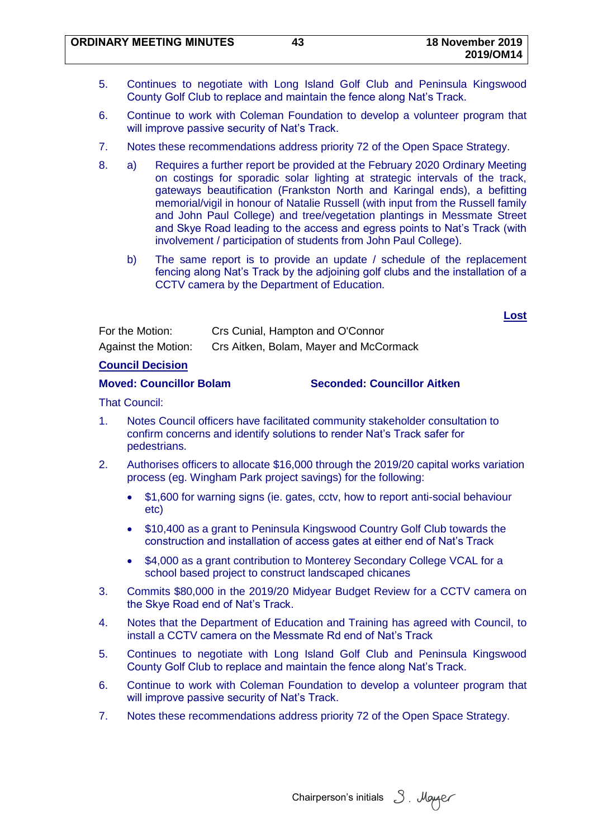**ORDINARY MEETING MINUTES 43 18 November 2019**

- 5. Continues to negotiate with Long Island Golf Club and Peninsula Kingswood County Golf Club to replace and maintain the fence along Nat's Track.
- 6. Continue to work with Coleman Foundation to develop a volunteer program that will improve passive security of Nat's Track.
- 7. Notes these recommendations address priority 72 of the Open Space Strategy.
- 8. a) Requires a further report be provided at the February 2020 Ordinary Meeting on costings for sporadic solar lighting at strategic intervals of the track, gateways beautification (Frankston North and Karingal ends), a befitting memorial/vigil in honour of Natalie Russell (with input from the Russell family and John Paul College) and tree/vegetation plantings in Messmate Street and Skye Road leading to the access and egress points to Nat's Track (with involvement / participation of students from John Paul College).
	- b) The same report is to provide an update / schedule of the replacement fencing along Nat's Track by the adjoining golf clubs and the installation of a CCTV camera by the Department of Education.

**Lost**

| For the Motion:            | Crs Cunial, Hampton and O'Connor       |
|----------------------------|----------------------------------------|
| <b>Against the Motion:</b> | Crs Aitken, Bolam, Mayer and McCormack |

**Council Decision**

**Moved: Councillor Bolam Seconded: Councillor Aitken**

That Council:

- 1. Notes Council officers have facilitated community stakeholder consultation to confirm concerns and identify solutions to render Nat's Track safer for pedestrians.
- 2. Authorises officers to allocate \$16,000 through the 2019/20 capital works variation process (eg. Wingham Park project savings) for the following:
	- \$1,600 for warning signs (ie. gates, cctv, how to report anti-social behaviour etc)
	- \$10,400 as a grant to Peninsula Kingswood Country Golf Club towards the construction and installation of access gates at either end of Nat's Track
	- \$4,000 as a grant contribution to Monterey Secondary College VCAL for a school based project to construct landscaped chicanes
- 3. Commits \$80,000 in the 2019/20 Midyear Budget Review for a CCTV camera on the Skye Road end of Nat's Track.
- 4. Notes that the Department of Education and Training has agreed with Council, to install a CCTV camera on the Messmate Rd end of Nat's Track
- 5. Continues to negotiate with Long Island Golf Club and Peninsula Kingswood County Golf Club to replace and maintain the fence along Nat's Track.
- 6. Continue to work with Coleman Foundation to develop a volunteer program that will improve passive security of Nat's Track.
- 7. Notes these recommendations address priority 72 of the Open Space Strategy.

Chairperson's initials 3. Mayer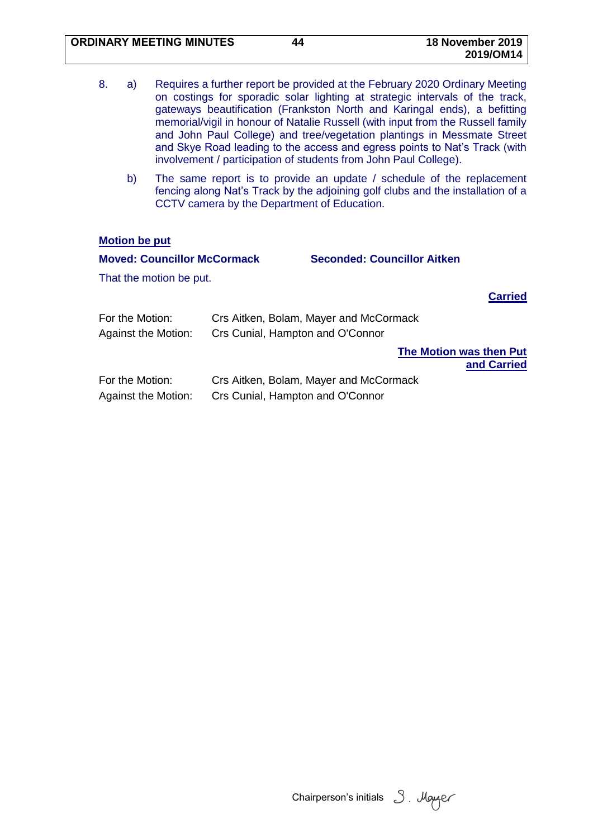| 8. | a) | Requires a further report be provided at the February 2020 Ordinary Meeting     |
|----|----|---------------------------------------------------------------------------------|
|    |    | on costings for sporadic solar lighting at strategic intervals of the track,    |
|    |    | gateways beautification (Frankston North and Karingal ends), a befitting        |
|    |    | memorial/vigil in honour of Natalie Russell (with input from the Russell family |
|    |    | and John Paul College) and tree/vegetation plantings in Messmate Street         |
|    |    | and Skye Road leading to the access and egress points to Nat's Track (with      |
|    |    | involvement / participation of students from John Paul College).                |

b) The same report is to provide an update / schedule of the replacement fencing along Nat's Track by the adjoining golf clubs and the installation of a CCTV camera by the Department of Education.

## **Motion be put**

| <b>Moved: Councillor McCormack</b>            |                                                                            | <b>Seconded: Councillor Aitken</b> |                                        |
|-----------------------------------------------|----------------------------------------------------------------------------|------------------------------------|----------------------------------------|
| That the motion be put.                       |                                                                            |                                    |                                        |
|                                               |                                                                            |                                    | <b>Carried</b>                         |
| For the Motion:                               | Crs Aitken, Bolam, Mayer and McCormack                                     |                                    |                                        |
| <b>Against the Motion:</b>                    | Crs Cunial, Hampton and O'Connor                                           |                                    |                                        |
|                                               |                                                                            |                                    | The Motion was then Put<br>and Carried |
| For the Motion:<br><b>Against the Motion:</b> | Crs Aitken, Bolam, Mayer and McCormack<br>Crs Cunial, Hampton and O'Connor |                                    |                                        |

Chairperson's initials 3. Moyer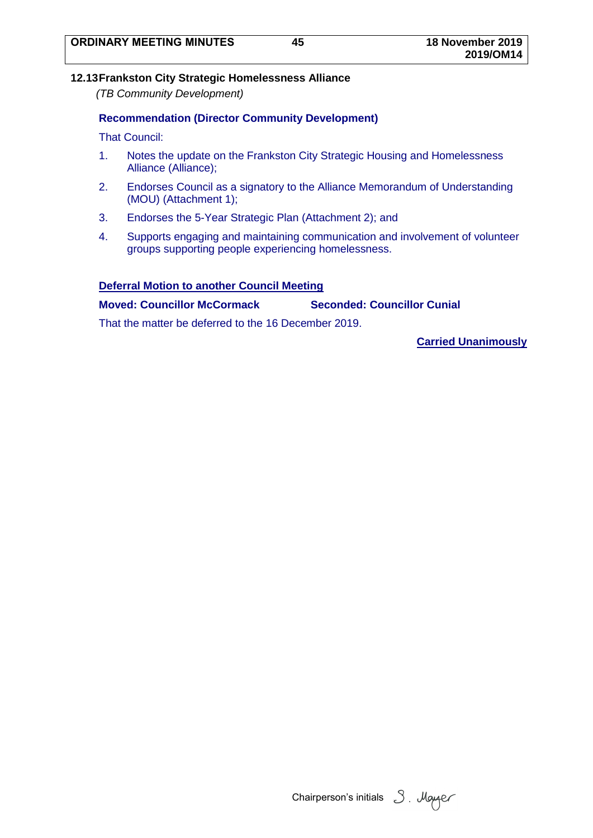## **12.13Frankston City Strategic Homelessness Alliance**

*(TB Community Development)*

## **Recommendation (Director Community Development)**

That Council:

- 1. Notes the update on the Frankston City Strategic Housing and Homelessness Alliance (Alliance);
- 2. Endorses Council as a signatory to the Alliance Memorandum of Understanding (MOU) (Attachment 1);
- 3. Endorses the 5-Year Strategic Plan (Attachment 2); and
- 4. Supports engaging and maintaining communication and involvement of volunteer groups supporting people experiencing homelessness.

### **Deferral Motion to another Council Meeting**

**Moved: Councillor McCormack Seconded: Councillor Cunial**

That the matter be deferred to the 16 December 2019.

**Carried Unanimously**

Chairperson's initials 3. Mayaer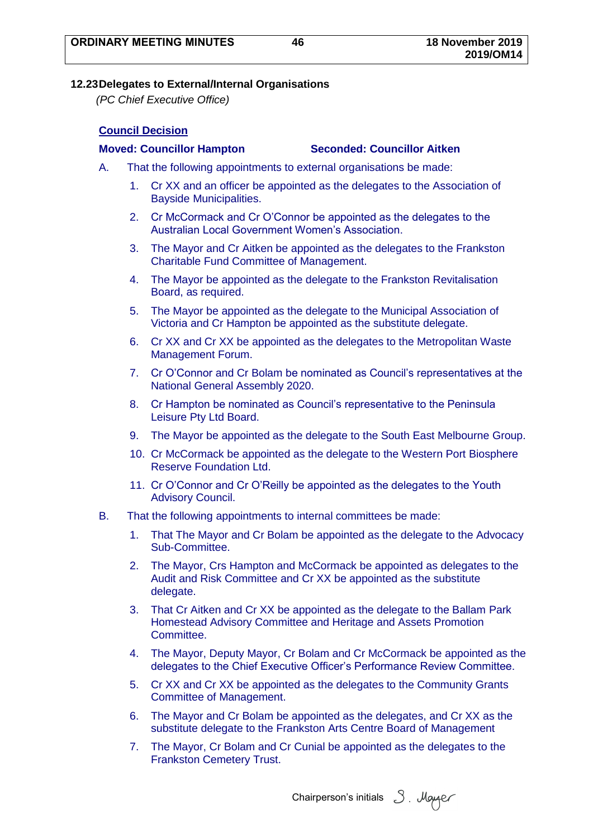### **12.23Delegates to External/Internal Organisations**

*(PC Chief Executive Office)*

## **Council Decision**

#### **Moved: Councillor Hampton Seconded: Councillor Aitken**

- A. That the following appointments to external organisations be made:
	- 1. Cr XX and an officer be appointed as the delegates to the Association of Bayside Municipalities.
	- 2. Cr McCormack and Cr O'Connor be appointed as the delegates to the Australian Local Government Women's Association.
	- 3. The Mayor and Cr Aitken be appointed as the delegates to the Frankston Charitable Fund Committee of Management.
	- 4. The Mayor be appointed as the delegate to the Frankston Revitalisation Board, as required.
	- 5. The Mayor be appointed as the delegate to the Municipal Association of Victoria and Cr Hampton be appointed as the substitute delegate.
	- 6. Cr XX and Cr XX be appointed as the delegates to the Metropolitan Waste Management Forum.
	- 7. Cr O'Connor and Cr Bolam be nominated as Council's representatives at the National General Assembly 2020.
	- 8. Cr Hampton be nominated as Council's representative to the Peninsula Leisure Pty Ltd Board.
	- 9. The Mayor be appointed as the delegate to the South East Melbourne Group.
	- 10. Cr McCormack be appointed as the delegate to the Western Port Biosphere Reserve Foundation Ltd.
	- 11. Cr O'Connor and Cr O'Reilly be appointed as the delegates to the Youth Advisory Council.
- B. That the following appointments to internal committees be made:
	- 1. That The Mayor and Cr Bolam be appointed as the delegate to the Advocacy Sub-Committee.
	- 2. The Mayor, Crs Hampton and McCormack be appointed as delegates to the Audit and Risk Committee and Cr XX be appointed as the substitute delegate.
	- 3. That Cr Aitken and Cr XX be appointed as the delegate to the Ballam Park Homestead Advisory Committee and Heritage and Assets Promotion Committee.
	- 4. The Mayor, Deputy Mayor, Cr Bolam and Cr McCormack be appointed as the delegates to the Chief Executive Officer's Performance Review Committee.
	- 5. Cr XX and Cr XX be appointed as the delegates to the Community Grants Committee of Management.
	- 6. The Mayor and Cr Bolam be appointed as the delegates, and Cr XX as the substitute delegate to the Frankston Arts Centre Board of Management
	- 7. The Mayor, Cr Bolam and Cr Cunial be appointed as the delegates to the Frankston Cemetery Trust.

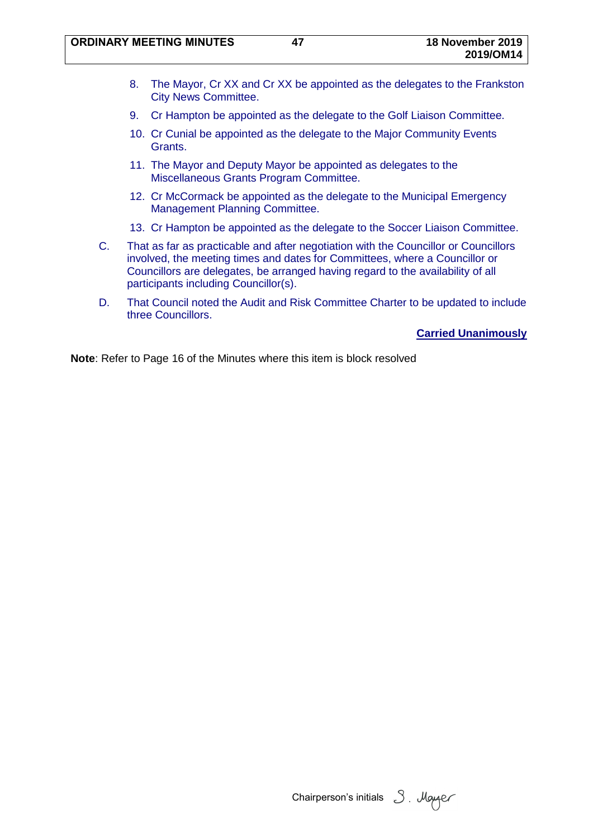- 8. The Mayor, Cr XX and Cr XX be appointed as the delegates to the Frankston City News Committee.
- 9. Cr Hampton be appointed as the delegate to the Golf Liaison Committee.
- 10. Cr Cunial be appointed as the delegate to the Major Community Events Grants.
- 11. The Mayor and Deputy Mayor be appointed as delegates to the Miscellaneous Grants Program Committee.
- 12. Cr McCormack be appointed as the delegate to the Municipal Emergency Management Planning Committee.
- 13. Cr Hampton be appointed as the delegate to the Soccer Liaison Committee.
- C. That as far as practicable and after negotiation with the Councillor or Councillors involved, the meeting times and dates for Committees, where a Councillor or Councillors are delegates, be arranged having regard to the availability of all participants including Councillor(s).
- D. That Council noted the Audit and Risk Committee Charter to be updated to include three Councillors.

**Carried Unanimously**

Chairperson's initials 3. Mayaer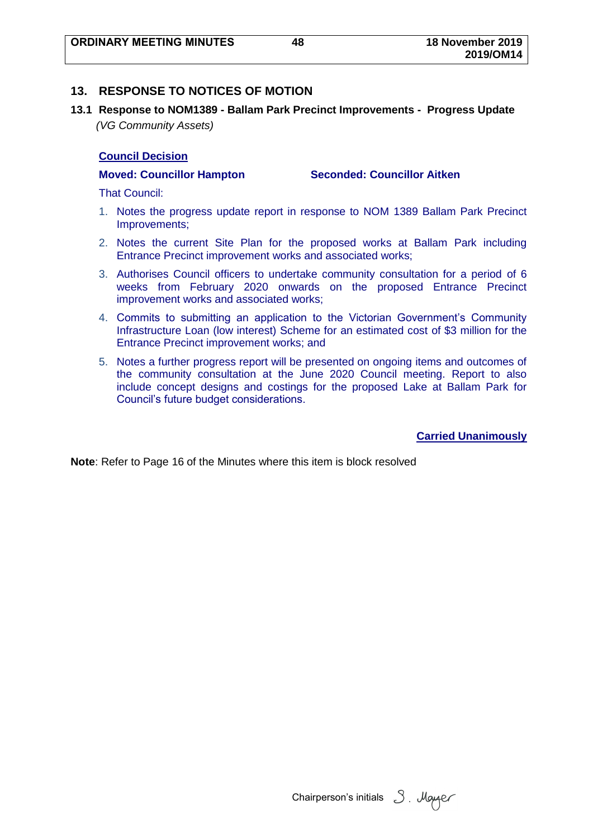## **13. RESPONSE TO NOTICES OF MOTION**

**13.1 Response to NOM1389 - Ballam Park Precinct Improvements - Progress Update** *(VG Community Assets)*

### **Council Decision**

**Moved: Councillor Hampton Seconded: Councillor Aitken**

That Council:

- 1. Notes the progress update report in response to NOM 1389 Ballam Park Precinct Improvements;
- 2. Notes the current Site Plan for the proposed works at Ballam Park including Entrance Precinct improvement works and associated works;
- 3. Authorises Council officers to undertake community consultation for a period of 6 weeks from February 2020 onwards on the proposed Entrance Precinct improvement works and associated works;
- 4. Commits to submitting an application to the Victorian Government's Community Infrastructure Loan (low interest) Scheme for an estimated cost of \$3 million for the Entrance Precinct improvement works; and
- 5. Notes a further progress report will be presented on ongoing items and outcomes of the community consultation at the June 2020 Council meeting. Report to also include concept designs and costings for the proposed Lake at Ballam Park for Council's future budget considerations.

**Carried Unanimously**

Chairperson's initials  $3$ . Mayaer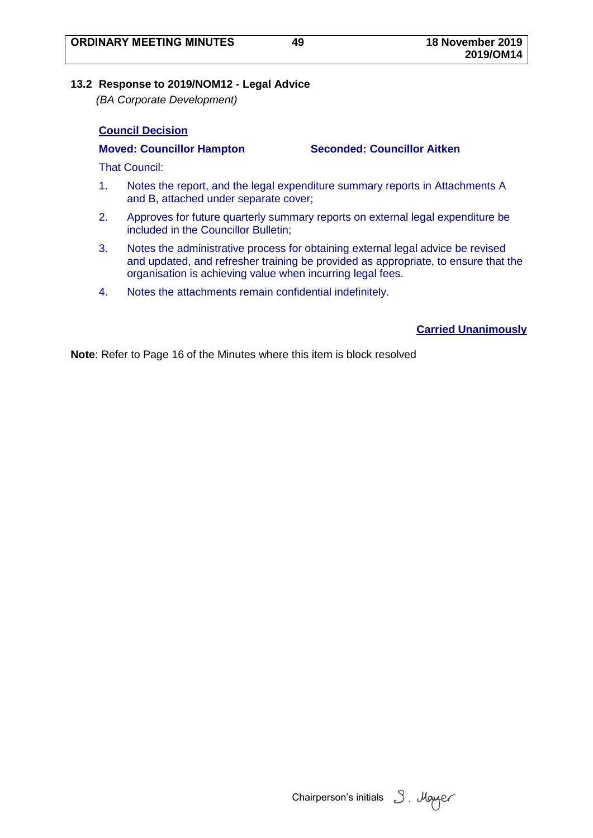## **13.2 Response to 2019/NOM12 - Legal Advice**

*(BA Corporate Development)*

## **Council Decision**

**Moved: Councillor Hampton Seconded: Councillor Aitken**

That Council:

- 1. Notes the report, and the legal expenditure summary reports in Attachments A and B, attached under separate cover;
- 2. Approves for future quarterly summary reports on external legal expenditure be included in the Councillor Bulletin;
- 3. Notes the administrative process for obtaining external legal advice be revised and updated, and refresher training be provided as appropriate, to ensure that the organisation is achieving value when incurring legal fees.
- 4. Notes the attachments remain confidential indefinitely.

## **Carried Unanimously**

Chairperson's initials 3. Mayaer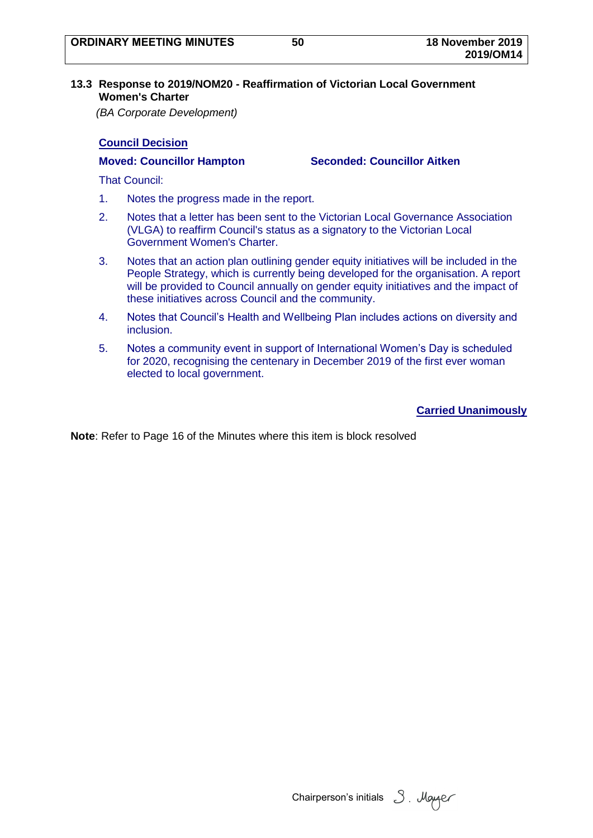### **13.3 Response to 2019/NOM20 - Reaffirmation of Victorian Local Government Women's Charter**

*(BA Corporate Development)*

## **Council Decision**

**Moved: Councillor Hampton Seconded: Councillor Aitken**

That Council:

- 1. Notes the progress made in the report.
- 2. Notes that a letter has been sent to the Victorian Local Governance Association (VLGA) to reaffirm Council's status as a signatory to the Victorian Local Government Women's Charter.
- 3. Notes that an action plan outlining gender equity initiatives will be included in the People Strategy, which is currently being developed for the organisation. A report will be provided to Council annually on gender equity initiatives and the impact of these initiatives across Council and the community.
- 4. Notes that Council's Health and Wellbeing Plan includes actions on diversity and inclusion.
- 5. Notes a community event in support of International Women's Day is scheduled for 2020, recognising the centenary in December 2019 of the first ever woman elected to local government.

**Carried Unanimously**

Chairperson's initials 3. Mayer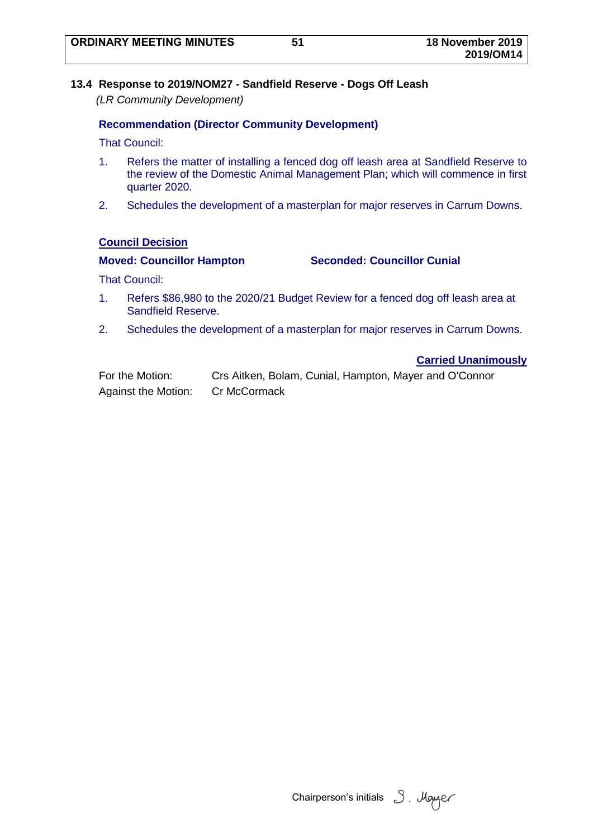## **13.4 Response to 2019/NOM27 - Sandfield Reserve - Dogs Off Leash**

*(LR Community Development)*

## **Recommendation (Director Community Development)**

That Council:

- 1. Refers the matter of installing a fenced dog off leash area at Sandfield Reserve to the review of the Domestic Animal Management Plan; which will commence in first quarter 2020.
- 2. Schedules the development of a masterplan for major reserves in Carrum Downs.

## **Council Decision**

## **Moved: Councillor Hampton Seconded: Councillor Cunial**

That Council:

- 1. Refers \$86,980 to the 2020/21 Budget Review for a fenced dog off leash area at Sandfield Reserve.
- 2. Schedules the development of a masterplan for major reserves in Carrum Downs.

## **Carried Unanimously**

| For the Motion:            | Crs Aitken, Bolam, Cunial, Hampton, Mayer and O'Connor |
|----------------------------|--------------------------------------------------------|
| <b>Against the Motion:</b> | Cr McCormack                                           |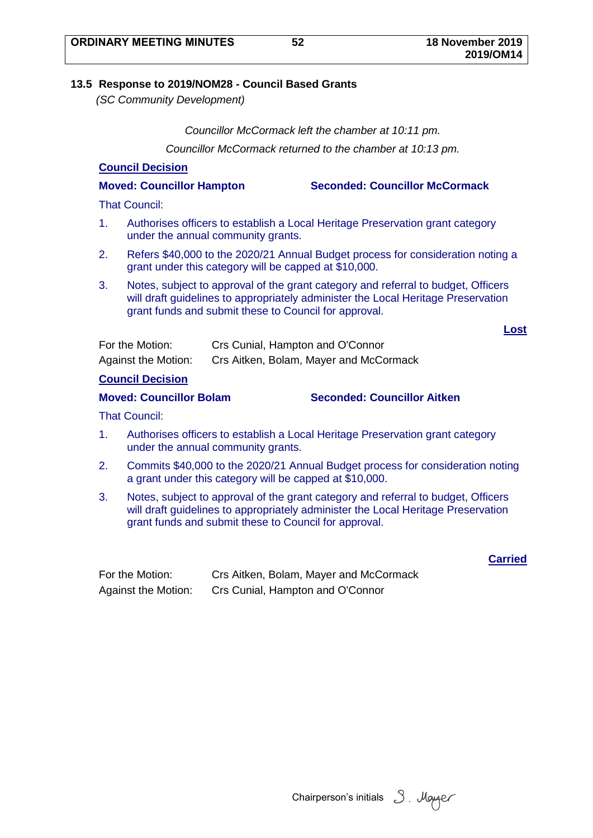# **13.5 Response to 2019/NOM28 - Council Based Grants**

*(SC Community Development)*

*Councillor McCormack left the chamber at 10:11 pm.*

*Councillor McCormack returned to the chamber at 10:13 pm.*

# **Council Decision**

**Moved: Councillor Hampton Seconded: Councillor McCormack**

That Council:

- 1. Authorises officers to establish a Local Heritage Preservation grant category under the annual community grants.
- 2. Refers \$40,000 to the 2020/21 Annual Budget process for consideration noting a grant under this category will be capped at \$10,000.
- 3. Notes, subject to approval of the grant category and referral to budget, Officers will draft guidelines to appropriately administer the Local Heritage Preservation grant funds and submit these to Council for approval.

**Lost**

| For the Motion:            | Crs Cunial, Hampton and O'Connor       |
|----------------------------|----------------------------------------|
| <b>Against the Motion:</b> | Crs Aitken, Bolam, Mayer and McCormack |

## **Council Decision**

**Moved: Councillor Bolam Seconded: Councillor Aitken**

That Council:

- 1. Authorises officers to establish a Local Heritage Preservation grant category under the annual community grants.
- 2. Commits \$40,000 to the 2020/21 Annual Budget process for consideration noting a grant under this category will be capped at \$10,000.
- 3. Notes, subject to approval of the grant category and referral to budget, Officers will draft quidelines to appropriately administer the Local Heritage Preservation grant funds and submit these to Council for approval.

**Carried** 

| For the Motion:            | Crs Aitken, Bolam, Mayer and McCormack |
|----------------------------|----------------------------------------|
| <b>Against the Motion:</b> | Crs Cunial, Hampton and O'Connor       |

Chairperson's initials 3. Mayer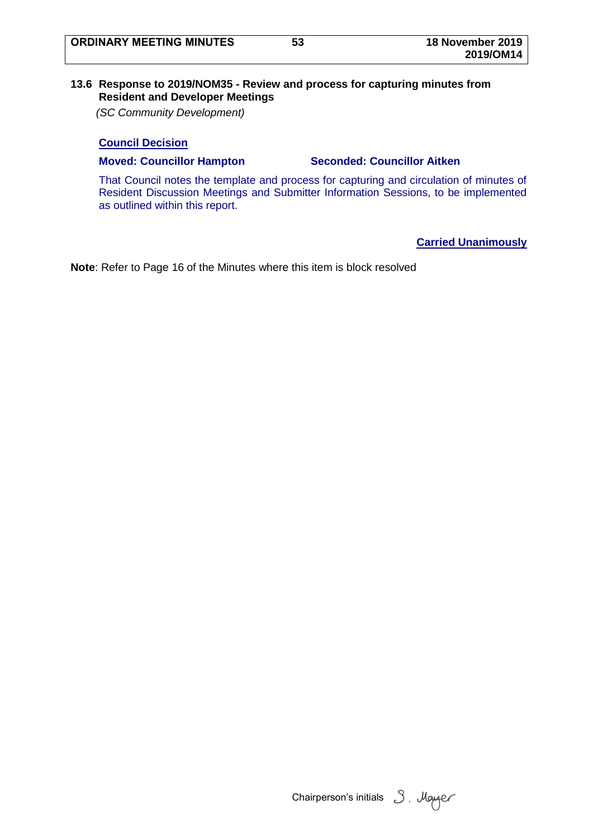## **13.6 Response to 2019/NOM35 - Review and process for capturing minutes from Resident and Developer Meetings**

*(SC Community Development)*

## **Council Decision**

### **Moved: Councillor Hampton Seconded: Councillor Aitken**

That Council notes the template and process for capturing and circulation of minutes of Resident Discussion Meetings and Submitter Information Sessions, to be implemented as outlined within this report.

## **Carried Unanimously**

Chairperson's initials 3. Mayaer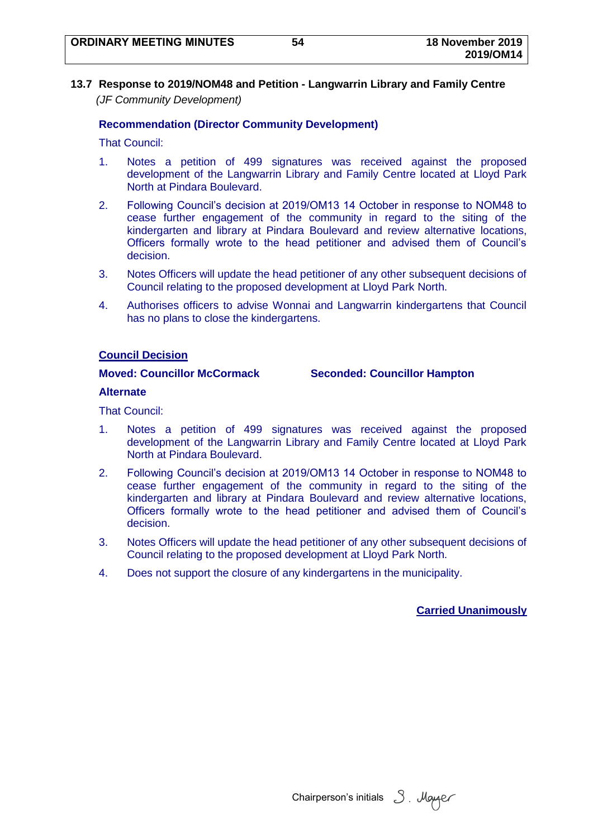**13.7 Response to 2019/NOM48 and Petition - Langwarrin Library and Family Centre** *(JF Community Development)*

## **Recommendation (Director Community Development)**

That Council:

- 1. Notes a petition of 499 signatures was received against the proposed development of the Langwarrin Library and Family Centre located at Lloyd Park North at Pindara Boulevard.
- 2. Following Council's decision at 2019/OM13 14 October in response to NOM48 to cease further engagement of the community in regard to the siting of the kindergarten and library at Pindara Boulevard and review alternative locations, Officers formally wrote to the head petitioner and advised them of Council's decision.
- 3. Notes Officers will update the head petitioner of any other subsequent decisions of Council relating to the proposed development at Lloyd Park North.
- 4. Authorises officers to advise Wonnai and Langwarrin kindergartens that Council has no plans to close the kindergartens.

### **Council Decision**

**Moved: Councillor McCormack Seconded: Councillor Hampton**

#### **Alternate**

That Council:

- 1. Notes a petition of 499 signatures was received against the proposed development of the Langwarrin Library and Family Centre located at Lloyd Park North at Pindara Boulevard.
- 2. Following Council's decision at 2019/OM13 14 October in response to NOM48 to cease further engagement of the community in regard to the siting of the kindergarten and library at Pindara Boulevard and review alternative locations, Officers formally wrote to the head petitioner and advised them of Council's decision.
- 3. Notes Officers will update the head petitioner of any other subsequent decisions of Council relating to the proposed development at Lloyd Park North.
- 4. Does not support the closure of any kindergartens in the municipality.

## **Carried Unanimously**

Chairperson's initials 3. Mayer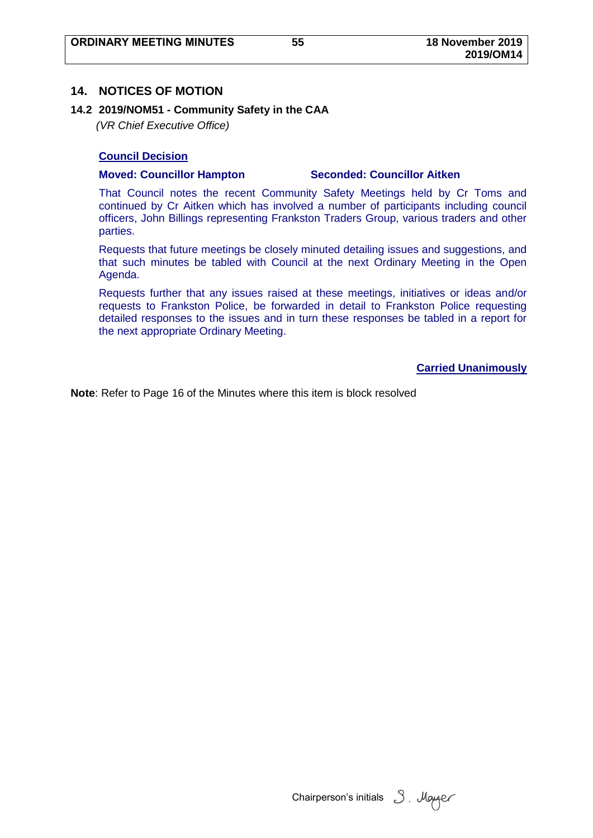## **14. NOTICES OF MOTION**

### **14.2 2019/NOM51 - Community Safety in the CAA**

*(VR Chief Executive Office)*

### **Council Decision**

#### **Moved: Councillor Hampton Seconded: Councillor Aitken**

That Council notes the recent Community Safety Meetings held by Cr Toms and continued by Cr Aitken which has involved a number of participants including council officers, John Billings representing Frankston Traders Group, various traders and other parties.

Requests that future meetings be closely minuted detailing issues and suggestions, and that such minutes be tabled with Council at the next Ordinary Meeting in the Open Agenda.

Requests further that any issues raised at these meetings, initiatives or ideas and/or requests to Frankston Police, be forwarded in detail to Frankston Police requesting detailed responses to the issues and in turn these responses be tabled in a report for the next appropriate Ordinary Meeting.

### **Carried Unanimously**

Chairperson's initials  $3$ . Mayaer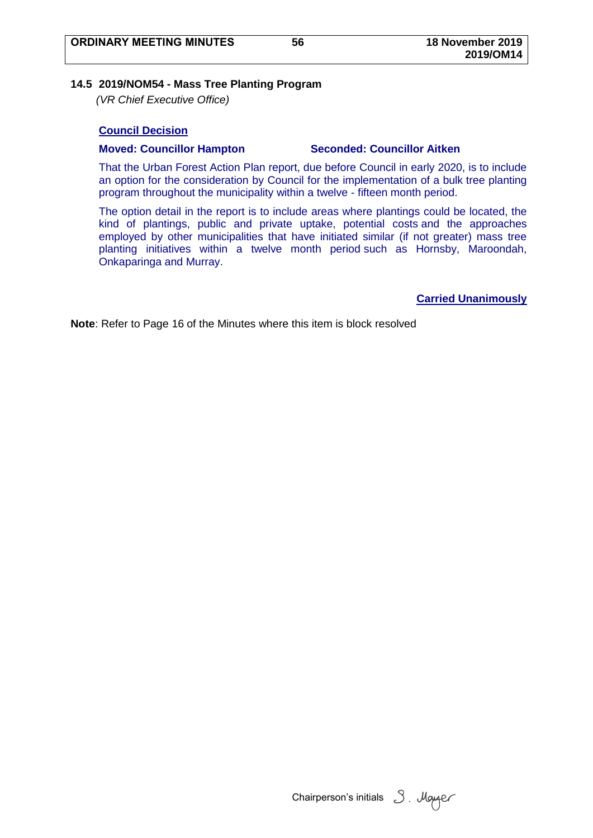### **14.5 2019/NOM54 - Mass Tree Planting Program**

*(VR Chief Executive Office)*

## **Council Decision**

#### **Moved: Councillor Hampton Seconded: Councillor Aitken**

That the Urban Forest Action Plan report, due before Council in early 2020, is to include an option for the consideration by Council for the implementation of a bulk tree planting program throughout the municipality within a twelve - fifteen month period.

The option detail in the report is to include areas where plantings could be located, the kind of plantings, public and private uptake, potential costs and the approaches employed by other municipalities that have initiated similar (if not greater) mass tree planting initiatives within a twelve month period such as Hornsby, Maroondah, Onkaparinga and Murray.

**Carried Unanimously**

Chairperson's initials  $3$ . Mayaer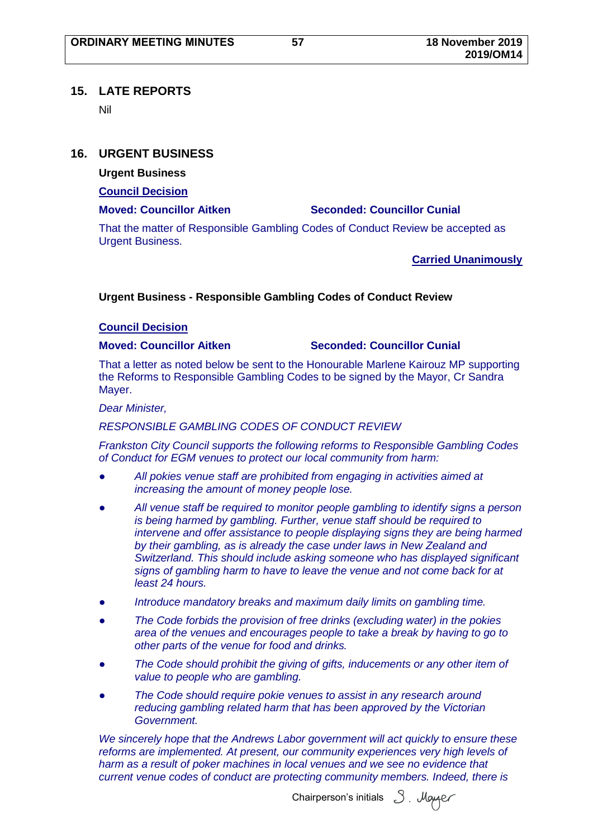## **15. LATE REPORTS**

Nil

## **16. URGENT BUSINESS**

**Urgent Business**

**Council Decision**

## **Moved: Councillor Aitken Seconded: Councillor Cunial**

That the matter of Responsible Gambling Codes of Conduct Review be accepted as Urgent Business.

**Carried Unanimously**

## **Urgent Business - Responsible Gambling Codes of Conduct Review**

## **Council Decision**

## **Moved: Councillor Aitken Seconded: Councillor Cunial**

That a letter as noted below be sent to the Honourable Marlene Kairouz MP supporting the Reforms to Responsible Gambling Codes to be signed by the Mayor, Cr Sandra Mayer.

### *Dear Minister,*

## *RESPONSIBLE GAMBLING CODES OF CONDUCT REVIEW*

*Frankston City Council supports the following reforms to Responsible Gambling Codes of Conduct for EGM venues to protect our local community from harm:*

- *● All pokies venue staff are prohibited from engaging in activities aimed at increasing the amount of money people lose.*
- *● All venue staff be required to monitor people gambling to identify signs a person is being harmed by gambling. Further, venue staff should be required to intervene and offer assistance to people displaying signs they are being harmed by their gambling, as is already the case under laws in New Zealand and Switzerland. This should include asking someone who has displayed significant signs of gambling harm to have to leave the venue and not come back for at least 24 hours.*
- *● Introduce mandatory breaks and maximum daily limits on gambling time.*
- *● The Code forbids the provision of free drinks (excluding water) in the pokies area of the venues and encourages people to take a break by having to go to other parts of the venue for food and drinks.*
- *● The Code should prohibit the giving of gifts, inducements or any other item of value to people who are gambling.*
- *● The Code should require pokie venues to assist in any research around reducing gambling related harm that has been approved by the Victorian Government.*

*We sincerely hope that the Andrews Labor government will act quickly to ensure these reforms are implemented. At present, our community experiences very high levels of harm as a result of poker machines in local venues and we see no evidence that current venue codes of conduct are protecting community members. Indeed, there is* 

Chairperson's initials 3. Mayor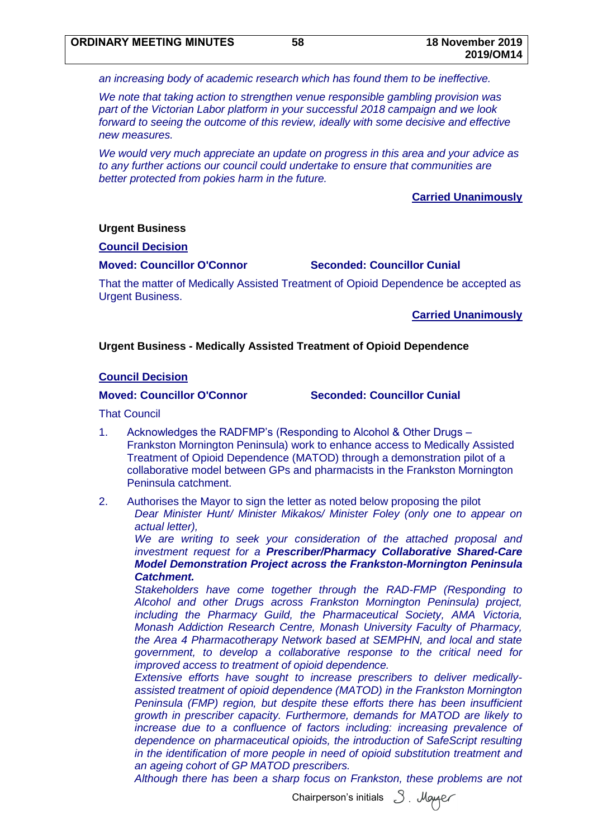*an increasing body of academic research which has found them to be ineffective.*

*We note that taking action to strengthen venue responsible gambling provision was part of the Victorian Labor platform in your successful 2018 campaign and we look forward to seeing the outcome of this review, ideally with some decisive and effective new measures.*

*We would very much appreciate an update on progress in this area and your advice as to any further actions our council could undertake to ensure that communities are better protected from pokies harm in the future.*

### **Carried Unanimously**

#### **Urgent Business**

#### **Council Decision**

#### **Moved: Councillor O'Connor Seconded: Councillor Cunial**

That the matter of Medically Assisted Treatment of Opioid Dependence be accepted as Urgent Business.

### **Carried Unanimously**

#### **Urgent Business - Medically Assisted Treatment of Opioid Dependence**

#### **Council Decision**

#### **Moved: Councillor O'Connor Seconded: Councillor Cunial**

That Council

- 1. Acknowledges the RADFMP's (Responding to Alcohol & Other Drugs Frankston Mornington Peninsula) work to enhance access to Medically Assisted Treatment of Opioid Dependence (MATOD) through a demonstration pilot of a collaborative model between GPs and pharmacists in the Frankston Mornington Peninsula catchment.
- 2. Authorises the Mayor to sign the letter as noted below proposing the pilot *Dear Minister Hunt/ Minister Mikakos/ Minister Foley (only one to appear on actual letter),*

*We are writing to seek your consideration of the attached proposal and investment request for a Prescriber/Pharmacy Collaborative Shared-Care Model Demonstration Project across the Frankston-Mornington Peninsula Catchment.*

*Stakeholders have come together through the RAD-FMP (Responding to Alcohol and other Drugs across Frankston Mornington Peninsula) project, including the Pharmacy Guild, the Pharmaceutical Society, AMA Victoria, Monash Addiction Research Centre, Monash University Faculty of Pharmacy, the Area 4 Pharmacotherapy Network based at SEMPHN, and local and state government, to develop a collaborative response to the critical need for improved access to treatment of opioid dependence.* 

*Extensive efforts have sought to increase prescribers to deliver medicallyassisted treatment of opioid dependence (MATOD) in the Frankston Mornington Peninsula (FMP) region, but despite these efforts there has been insufficient growth in prescriber capacity. Furthermore, demands for MATOD are likely to increase due to a confluence of factors including: increasing prevalence of dependence on pharmaceutical opioids, the introduction of SafeScript resulting in the identification of more people in need of opioid substitution treatment and an ageing cohort of GP MATOD prescribers.*

*Although there has been a sharp focus on Frankston, these problems are not* 

Chairperson's initials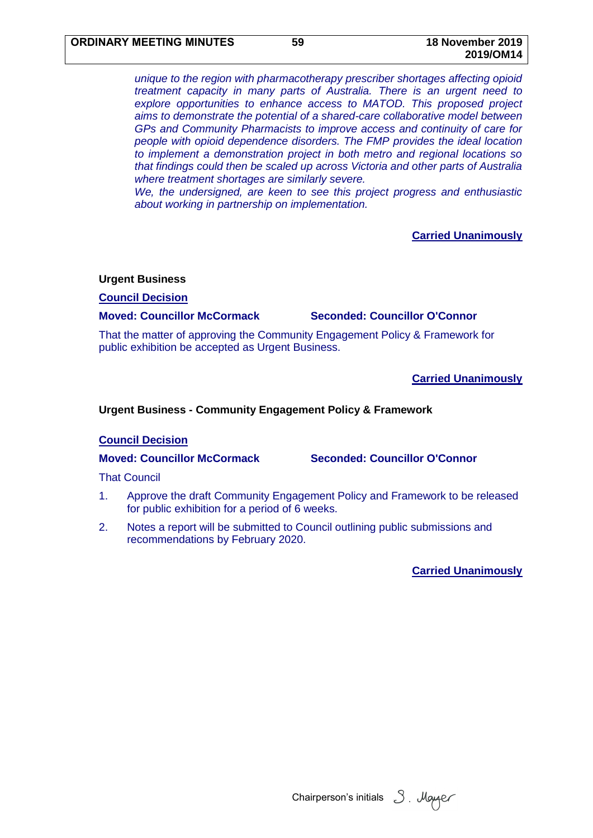*unique to the region with pharmacotherapy prescriber shortages affecting opioid treatment capacity in many parts of Australia. There is an urgent need to explore opportunities to enhance access to MATOD. This proposed project aims to demonstrate the potential of a shared-care collaborative model between GPs and Community Pharmacists to improve access and continuity of care for people with opioid dependence disorders. The FMP provides the ideal location to implement a demonstration project in both metro and regional locations so that findings could then be scaled up across Victoria and other parts of Australia where treatment shortages are similarly severe.*

*We, the undersigned, are keen to see this project progress and enthusiastic about working in partnership on implementation.* 

## **Carried Unanimously**

#### **Urgent Business**

**Council Decision**

#### **Moved: Councillor McCormack Seconded: Councillor O'Connor**

That the matter of approving the Community Engagement Policy & Framework for public exhibition be accepted as Urgent Business.

**Carried Unanimously**

### **Urgent Business - Community Engagement Policy & Framework**

#### **Council Decision**

**Moved: Councillor McCormack Seconded: Councillor O'Connor**

That Council

- 1. Approve the draft Community Engagement Policy and Framework to be released for public exhibition for a period of 6 weeks.
- 2. Notes a report will be submitted to Council outlining public submissions and recommendations by February 2020.

**Carried Unanimously**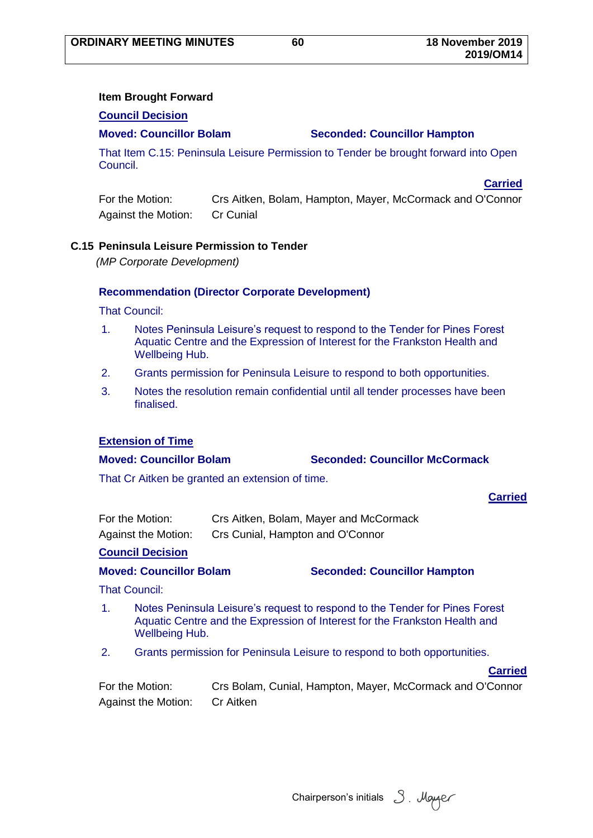**Carried** 

## **Item Brought Forward**

#### **Council Decision**

## **Moved: Councillor Bolam Seconded: Councillor Hampton**

That Item C.15: Peninsula Leisure Permission to Tender be brought forward into Open Council.

For the Motion: Crs Aitken, Bolam, Hampton, Mayer, McCormack and O'Connor Against the Motion: Cr Cunial

#### **C.15 Peninsula Leisure Permission to Tender**

*(MP Corporate Development)*

#### **Recommendation (Director Corporate Development)**

That Council:

- 1. Notes Peninsula Leisure's request to respond to the Tender for Pines Forest Aquatic Centre and the Expression of Interest for the Frankston Health and Wellbeing Hub.
- 2. Grants permission for Peninsula Leisure to respond to both opportunities.
- 3. Notes the resolution remain confidential until all tender processes have been finalised.

#### **Extension of Time**

#### **Moved: Councillor Bolam Seconded: Councillor McCormack**

That Cr Aitken be granted an extension of time.

#### **Carried**

| For the Motion:            | Crs Aitken, Bolam, Mayer and McCormack |
|----------------------------|----------------------------------------|
| <b>Against the Motion:</b> | Crs Cunial, Hampton and O'Connor       |

#### **Council Decision**

**Moved: Councillor Bolam Seconded: Councillor Hampton**

That Council:

- 1. Notes Peninsula Leisure's request to respond to the Tender for Pines Forest Aquatic Centre and the Expression of Interest for the Frankston Health and Wellbeing Hub.
- 2. Grants permission for Peninsula Leisure to respond to both opportunities.

**Carried**

| For the Motion:     | Crs Bolam, Cunial, Hampton, Mayer, McCormack and O'Connor |
|---------------------|-----------------------------------------------------------|
| Against the Motion: | Cr Aitken                                                 |

Chairperson's initials 3. Mayer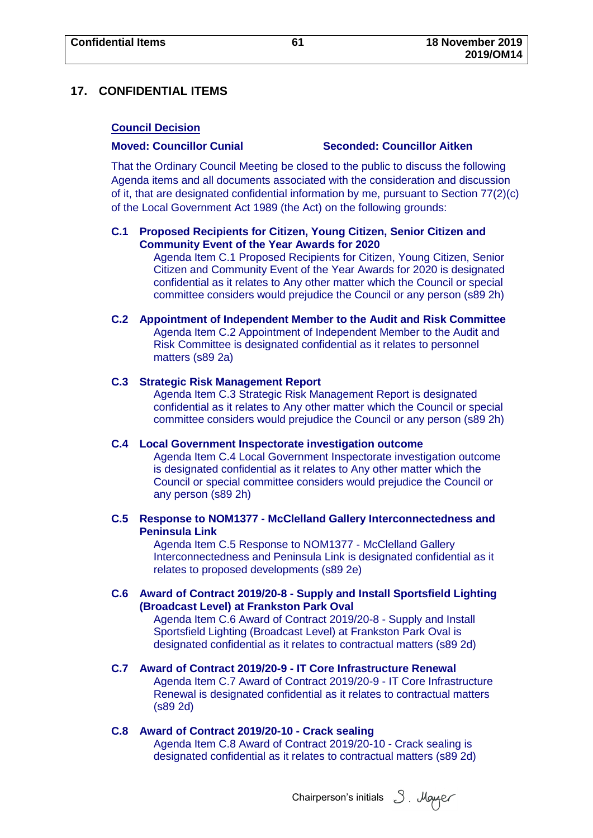## **17. CONFIDENTIAL ITEMS**

### **Council Decision**

#### **Moved: Councillor Cunial Seconded: Councillor Aitken**

That the Ordinary Council Meeting be closed to the public to discuss the following Agenda items and all documents associated with the consideration and discussion of it, that are designated confidential information by me, pursuant to Section 77(2)(c) of the Local Government Act 1989 (the Act) on the following grounds:

## **C.1 Proposed Recipients for Citizen, Young Citizen, Senior Citizen and Community Event of the Year Awards for 2020**

Agenda Item C.1 Proposed Recipients for Citizen, Young Citizen, Senior Citizen and Community Event of the Year Awards for 2020 is designated confidential as it relates to Any other matter which the Council or special committee considers would prejudice the Council or any person (s89 2h)

# **C.2 Appointment of Independent Member to the Audit and Risk Committee**

Agenda Item C.2 Appointment of Independent Member to the Audit and Risk Committee is designated confidential as it relates to personnel matters (s89 2a)

#### **C.3 Strategic Risk Management Report**

Agenda Item C.3 Strategic Risk Management Report is designated confidential as it relates to Any other matter which the Council or special committee considers would prejudice the Council or any person (s89 2h)

### **C.4 Local Government Inspectorate investigation outcome**

Agenda Item C.4 Local Government Inspectorate investigation outcome is designated confidential as it relates to Any other matter which the Council or special committee considers would prejudice the Council or any person (s89 2h)

#### **C.5 Response to NOM1377 - McClelland Gallery Interconnectedness and Peninsula Link**

Agenda Item C.5 Response to NOM1377 - McClelland Gallery Interconnectedness and Peninsula Link is designated confidential as it relates to proposed developments (s89 2e)

## **C.6 Award of Contract 2019/20-8 - Supply and Install Sportsfield Lighting (Broadcast Level) at Frankston Park Oval**

Agenda Item C.6 Award of Contract 2019/20-8 - Supply and Install Sportsfield Lighting (Broadcast Level) at Frankston Park Oval is designated confidential as it relates to contractual matters (s89 2d)

## **C.7 Award of Contract 2019/20-9 - IT Core Infrastructure Renewal**

Agenda Item C.7 Award of Contract 2019/20-9 - IT Core Infrastructure Renewal is designated confidential as it relates to contractual matters (s89 2d)

#### **C.8 Award of Contract 2019/20-10 - Crack sealing**

Agenda Item C.8 Award of Contract 2019/20-10 - Crack sealing is designated confidential as it relates to contractual matters (s89 2d)

Chairperson's initials 3. Mayer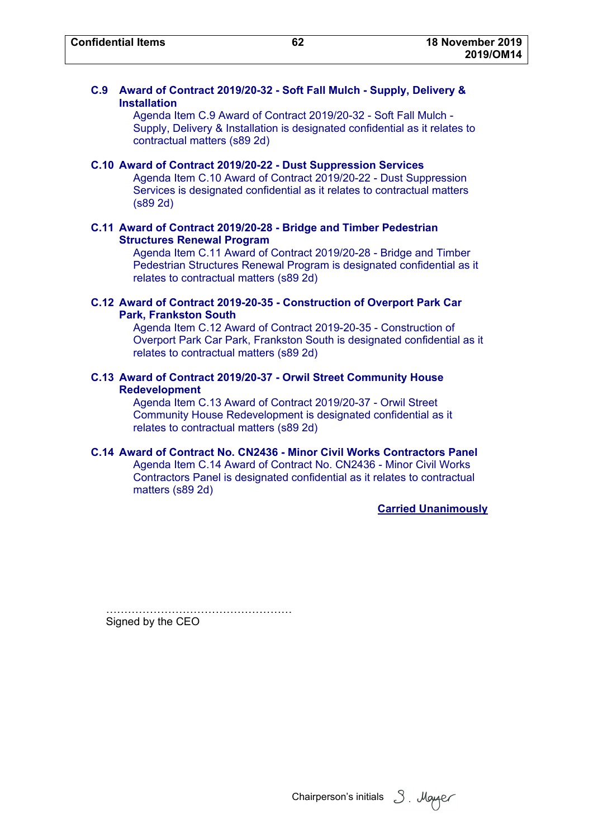## **C.9 Award of Contract 2019/20-32 - Soft Fall Mulch - Supply, Delivery & Installation**

Agenda Item C.9 Award of Contract 2019/20-32 - Soft Fall Mulch - Supply, Delivery & Installation is designated confidential as it relates to contractual matters (s89 2d)

**C.10 Award of Contract 2019/20-22 - Dust Suppression Services**  Agenda Item C.10 Award of Contract 2019/20-22 - Dust Suppression Services is designated confidential as it relates to contractual matters (s89 2d)

## **C.11 Award of Contract 2019/20-28 - Bridge and Timber Pedestrian Structures Renewal Program**

Agenda Item C.11 Award of Contract 2019/20-28 - Bridge and Timber Pedestrian Structures Renewal Program is designated confidential as it relates to contractual matters (s89 2d)

### **C.12 Award of Contract 2019-20-35 - Construction of Overport Park Car Park, Frankston South**

Agenda Item C.12 Award of Contract 2019-20-35 - Construction of Overport Park Car Park, Frankston South is designated confidential as it relates to contractual matters (s89 2d)

### **C.13 Award of Contract 2019/20-37 - Orwil Street Community House Redevelopment**

Agenda Item C.13 Award of Contract 2019/20-37 - Orwil Street Community House Redevelopment is designated confidential as it relates to contractual matters (s89 2d)

## **C.14 Award of Contract No. CN2436 - Minor Civil Works Contractors Panel**

Agenda Item C.14 Award of Contract No. CN2436 - Minor Civil Works Contractors Panel is designated confidential as it relates to contractual matters (s89 2d)

**Carried Unanimously**

……………………………………… Signed by the CEO

Chairperson's initials 3. Moyger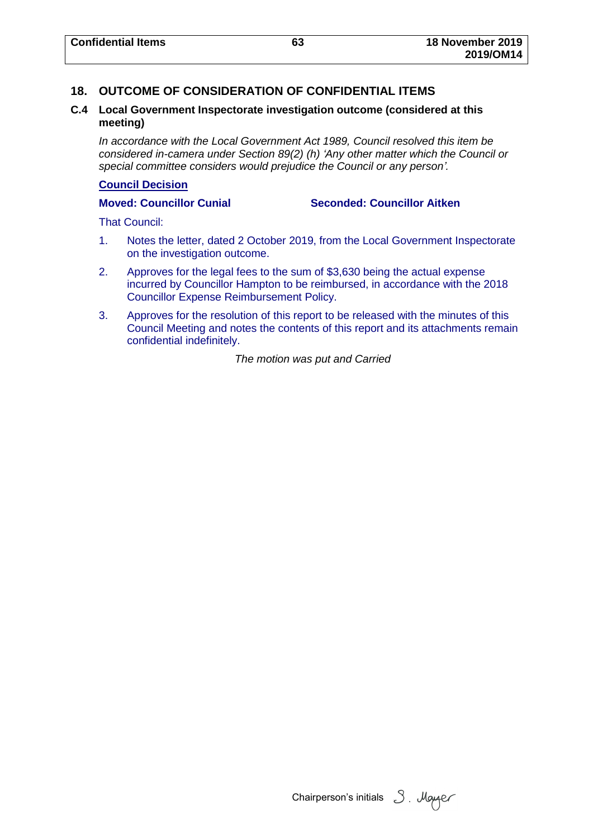## **18. OUTCOME OF CONSIDERATION OF CONFIDENTIAL ITEMS**

### **C.4 Local Government Inspectorate investigation outcome (considered at this meeting)**

*In accordance with the Local Government Act 1989, Council resolved this item be considered in-camera under Section 89(2) (h) 'Any other matter which the Council or special committee considers would prejudice the Council or any person'.*

#### **Council Decision**

**Moved: Councillor Cunial Seconded: Councillor Aitken**

That Council:

- 1. Notes the letter, dated 2 October 2019, from the Local Government Inspectorate on the investigation outcome.
- 2. Approves for the legal fees to the sum of \$3,630 being the actual expense incurred by Councillor Hampton to be reimbursed, in accordance with the 2018 Councillor Expense Reimbursement Policy.
- 3. Approves for the resolution of this report to be released with the minutes of this Council Meeting and notes the contents of this report and its attachments remain confidential indefinitely.

*The motion was put and Carried*

Chairperson's initials 3. Mayer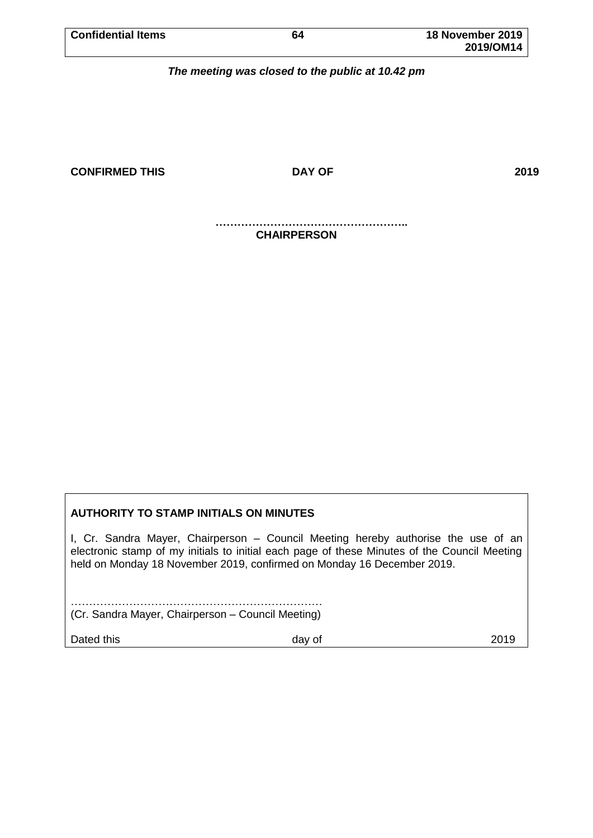| <b>Confidential Items</b> | 64 | 18 November 2019 |
|---------------------------|----|------------------|
|                           |    | 2019/OM14        |

*The meeting was closed to the public at 10.42 pm*

**CONFIRMED THIS DAY OF 2019**

**…………………………………………….. CHAIRPERSON**

## **AUTHORITY TO STAMP INITIALS ON MINUTES**

I, Cr. Sandra Mayer, Chairperson – Council Meeting hereby authorise the use of an electronic stamp of my initials to initial each page of these Minutes of the Council Meeting held on Monday 18 November 2019, confirmed on Monday 16 December 2019.

…………………………………………………………… (Cr. Sandra Mayer, Chairperson – Council Meeting)

Dated this **Dated this** 2019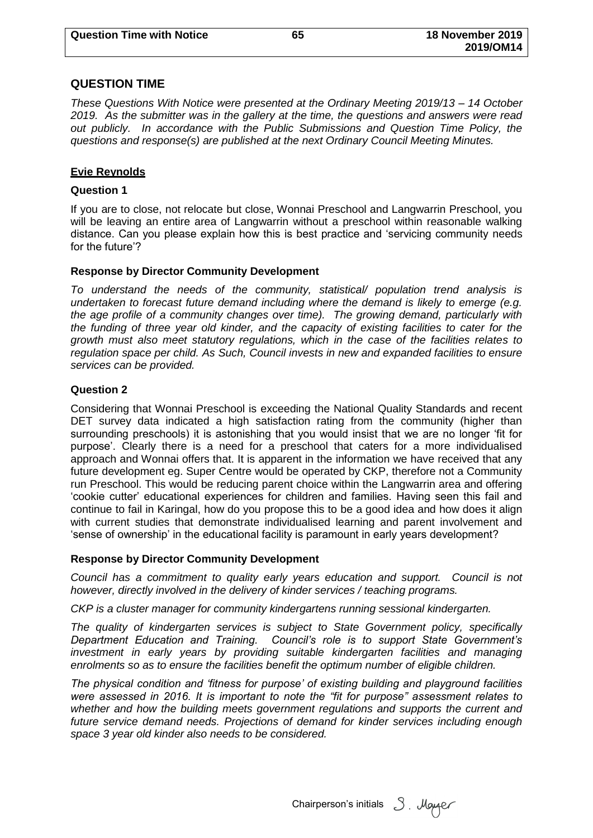# **QUESTION TIME**

*These Questions With Notice were presented at the Ordinary Meeting 2019/13 – 14 October 2019. As the submitter was in the gallery at the time, the questions and answers were read out publicly. In accordance with the Public Submissions and Question Time Policy, the questions and response(s) are published at the next Ordinary Council Meeting Minutes.*

# **Evie Reynolds**

# **Question 1**

If you are to close, not relocate but close, Wonnai Preschool and Langwarrin Preschool, you will be leaving an entire area of Langwarrin without a preschool within reasonable walking distance. Can you please explain how this is best practice and 'servicing community needs for the future'?

# **Response by Director Community Development**

*To understand the needs of the community, statistical/ population trend analysis is undertaken to forecast future demand including where the demand is likely to emerge (e.g. the age profile of a community changes over time). The growing demand, particularly with the funding of three year old kinder, and the capacity of existing facilities to cater for the growth must also meet statutory regulations, which in the case of the facilities relates to regulation space per child. As Such, Council invests in new and expanded facilities to ensure services can be provided.*

## **Question 2**

Considering that Wonnai Preschool is exceeding the National Quality Standards and recent DET survey data indicated a high satisfaction rating from the community (higher than surrounding preschools) it is astonishing that you would insist that we are no longer 'fit for purpose'. Clearly there is a need for a preschool that caters for a more individualised approach and Wonnai offers that. It is apparent in the information we have received that any future development eg. Super Centre would be operated by CKP, therefore not a Community run Preschool. This would be reducing parent choice within the Langwarrin area and offering 'cookie cutter' educational experiences for children and families. Having seen this fail and continue to fail in Karingal, how do you propose this to be a good idea and how does it align with current studies that demonstrate individualised learning and parent involvement and 'sense of ownership' in the educational facility is paramount in early years development?

## **Response by Director Community Development**

*Council has a commitment to quality early years education and support. Council is not however, directly involved in the delivery of kinder services / teaching programs.* 

*CKP is a cluster manager for community kindergartens running sessional kindergarten.*

*The quality of kindergarten services is subject to State Government policy, specifically Department Education and Training. Council's role is to support State Government's investment in early years by providing suitable kindergarten facilities and managing enrolments so as to ensure the facilities benefit the optimum number of eligible children.*

*The physical condition and 'fitness for purpose' of existing building and playground facilities were assessed in 2016. It is important to note the "fit for purpose" assessment relates to whether and how the building meets government regulations and supports the current and future service demand needs. Projections of demand for kinder services including enough space 3 year old kinder also needs to be considered.* 

Chairperson's initials 3. Mayor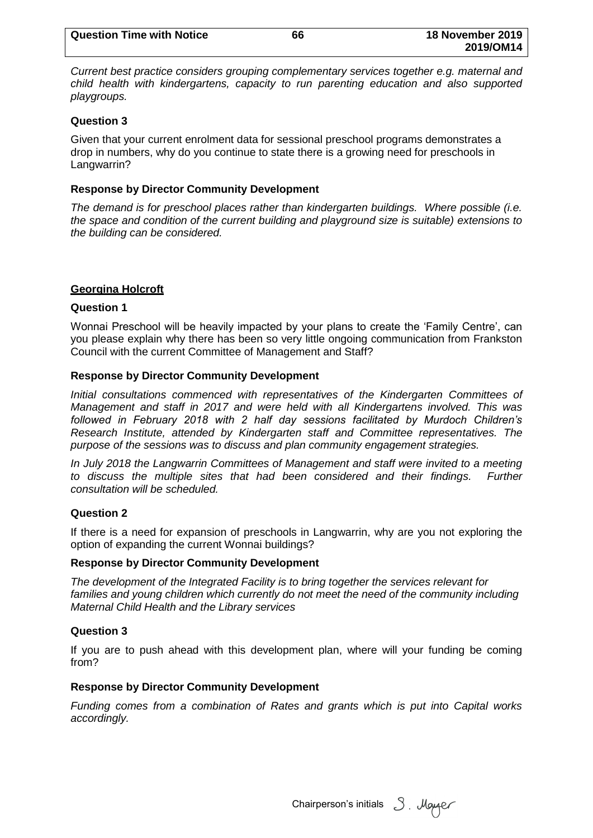*Current best practice considers grouping complementary services together e.g. maternal and child health with kindergartens, capacity to run parenting education and also supported playgroups.*

**2019/OM14**

### **Question 3**

Given that your current enrolment data for sessional preschool programs demonstrates a drop in numbers, why do you continue to state there is a growing need for preschools in Langwarrin?

### **Response by Director Community Development**

*The demand is for preschool places rather than kindergarten buildings. Where possible (i.e. the space and condition of the current building and playground size is suitable) extensions to the building can be considered.*

## **Georgina Holcroft**

### **Question 1**

Wonnai Preschool will be heavily impacted by your plans to create the 'Family Centre', can you please explain why there has been so very little ongoing communication from Frankston Council with the current Committee of Management and Staff?

### **Response by Director Community Development**

*Initial consultations commenced with representatives of the Kindergarten Committees of Management and staff in 2017 and were held with all Kindergartens involved. This was followed in February 2018 with 2 half day sessions facilitated by Murdoch Children's Research Institute, attended by Kindergarten staff and Committee representatives. The purpose of the sessions was to discuss and plan community engagement strategies.* 

*In July 2018 the Langwarrin Committees of Management and staff were invited to a meeting*  to discuss the multiple sites that had been considered and their findings. Further *consultation will be scheduled.*

## **Question 2**

If there is a need for expansion of preschools in Langwarrin, why are you not exploring the option of expanding the current Wonnai buildings?

#### **Response by Director Community Development**

*The development of the Integrated Facility is to bring together the services relevant for*  families and young children which currently do not meet the need of the community including *Maternal Child Health and the Library services*

#### **Question 3**

If you are to push ahead with this development plan, where will your funding be coming from?

#### **Response by Director Community Development**

*Funding comes from a combination of Rates and grants which is put into Capital works accordingly.*

Chairperson's initials  $3$ . Mayaer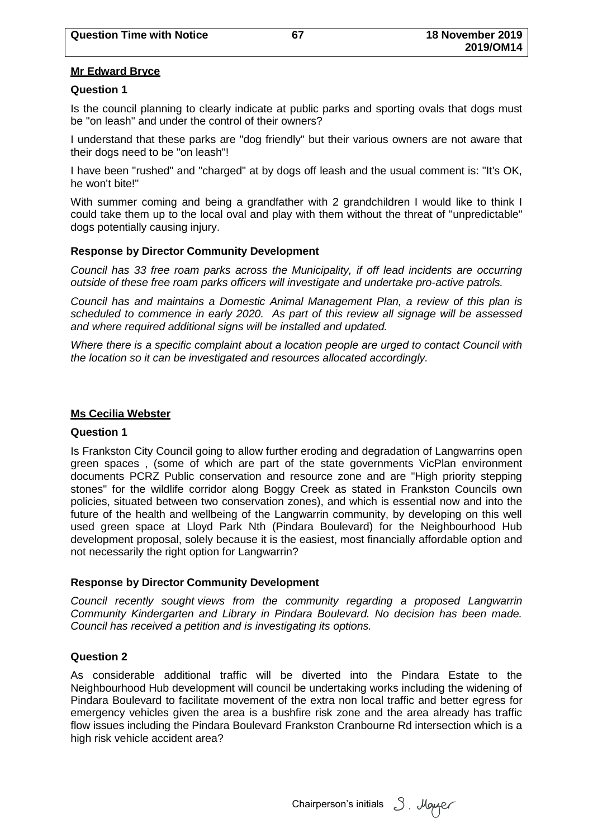#### **Mr Edward Bryce**

#### **Question 1**

Is the council planning to clearly indicate at public parks and sporting ovals that dogs must be "on leash" and under the control of their owners?

I understand that these parks are "dog friendly" but their various owners are not aware that their dogs need to be "on leash"!

I have been "rushed" and "charged" at by dogs off leash and the usual comment is: "It's OK, he won't bite!"

With summer coming and being a grandfather with 2 grandchildren I would like to think I could take them up to the local oval and play with them without the threat of "unpredictable" dogs potentially causing injury.

#### **Response by Director Community Development**

*Council has 33 free roam parks across the Municipality, if off lead incidents are occurring outside of these free roam parks officers will investigate and undertake pro-active patrols.* 

*Council has and maintains a Domestic Animal Management Plan, a review of this plan is scheduled to commence in early 2020. As part of this review all signage will be assessed and where required additional signs will be installed and updated.* 

*Where there is a specific complaint about a location people are urged to contact Council with the location so it can be investigated and resources allocated accordingly.* 

#### **Ms Cecilia Webster**

#### **Question 1**

Is Frankston City Council going to allow further eroding and degradation of Langwarrins open green spaces , (some of which are part of the state governments VicPlan environment documents PCRZ Public conservation and resource zone and are "High priority stepping stones" for the wildlife corridor along Boggy Creek as stated in Frankston Councils own policies, situated between two conservation zones), and which is essential now and into the future of the health and wellbeing of the Langwarrin community, by developing on this well used green space at Lloyd Park Nth (Pindara Boulevard) for the Neighbourhood Hub development proposal, solely because it is the easiest, most financially affordable option and not necessarily the right option for Langwarrin?

## **Response by Director Community Development**

*Council recently sought views from the community regarding a proposed Langwarrin Community Kindergarten and Library in Pindara Boulevard. No decision has been made. Council has received a petition and is investigating its options.*

#### **Question 2**

As considerable additional traffic will be diverted into the Pindara Estate to the Neighbourhood Hub development will council be undertaking works including the widening of Pindara Boulevard to facilitate movement of the extra non local traffic and better egress for emergency vehicles given the area is a bushfire risk zone and the area already has traffic flow issues including the Pindara Boulevard Frankston Cranbourne Rd intersection which is a high risk vehicle accident area?

Chairperson's initials  $3$ . Mayaer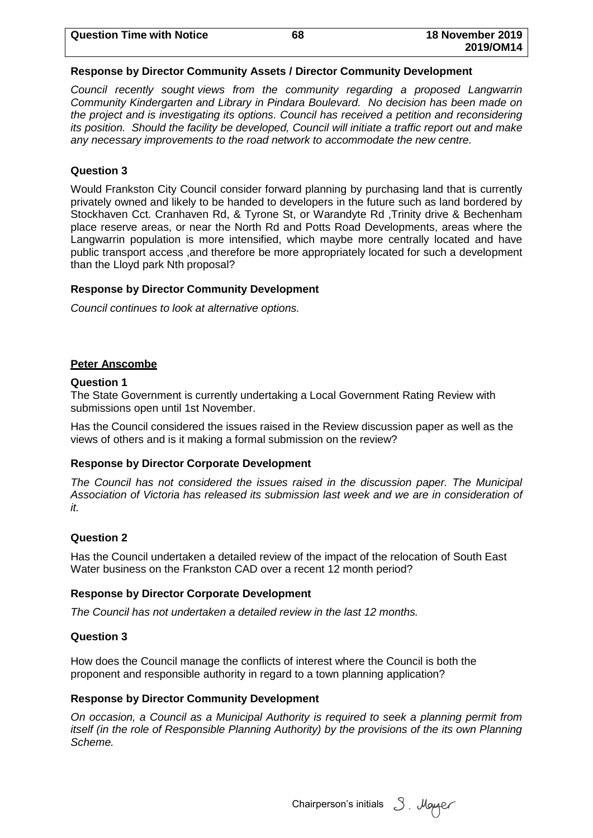| <b>Question Time with Notice</b> | 68 | 18 November 2019 |
|----------------------------------|----|------------------|
|                                  |    | 2019/OM14        |

#### **Response by Director Community Assets / Director Community Development**

*Council recently sought views from the community regarding a proposed Langwarrin Community Kindergarten and Library in Pindara Boulevard. No decision has been made on the project and is investigating its options. Council has received a petition and reconsidering its position. Should the facility be developed, Council will initiate a traffic report out and make any necessary improvements to the road network to accommodate the new centre.*

### **Question 3**

Would Frankston City Council consider forward planning by purchasing land that is currently privately owned and likely to be handed to developers in the future such as land bordered by Stockhaven Cct. Cranhaven Rd, & Tyrone St, or Warandyte Rd ,Trinity drive & Bechenham place reserve areas, or near the North Rd and Potts Road Developments, areas where the Langwarrin population is more intensified, which maybe more centrally located and have public transport access ,and therefore be more appropriately located for such a development than the Lloyd park Nth proposal?

#### **Response by Director Community Development**

*Council continues to look at alternative options.*

#### **Peter Anscombe**

#### **Question 1**

The State Government is currently undertaking a Local Government Rating Review with submissions open until 1st November.

Has the Council considered the issues raised in the Review discussion paper as well as the views of others and is it making a formal submission on the review?

#### **Response by Director Corporate Development**

*The Council has not considered the issues raised in the discussion paper. The Municipal Association of Victoria has released its submission last week and we are in consideration of it.*

#### **Question 2**

Has the Council undertaken a detailed review of the impact of the relocation of South East Water business on the Frankston CAD over a recent 12 month period?

#### **Response by Director Corporate Development**

*The Council has not undertaken a detailed review in the last 12 months.*

### **Question 3**

How does the Council manage the conflicts of interest where the Council is both the proponent and responsible authority in regard to a town planning application?

#### **Response by Director Community Development**

*On occasion, a Council as a Municipal Authority is required to seek a planning permit from itself (in the role of Responsible Planning Authority) by the provisions of the its own Planning Scheme.* 

Chairperson's initials 3. Mayer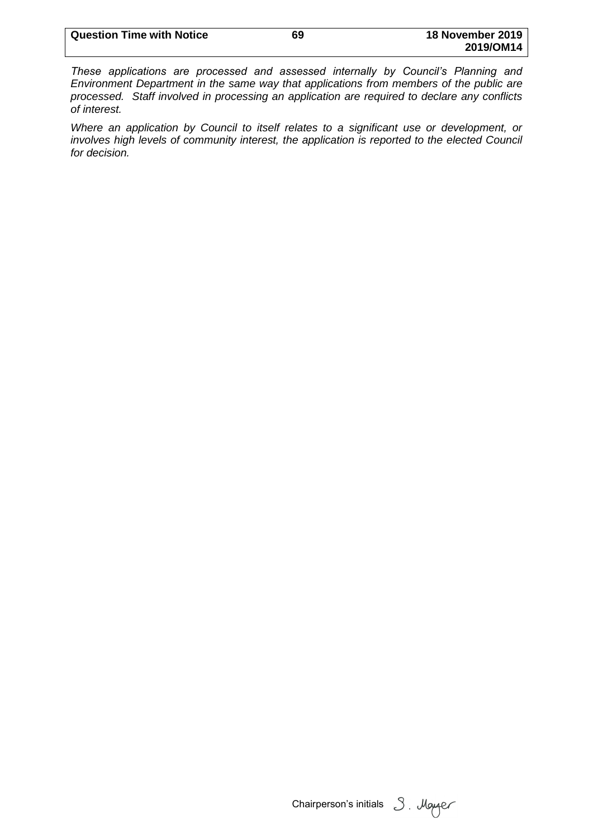| <b>Question Time with Notice</b> | 69 | 18 November 2019 |
|----------------------------------|----|------------------|
|                                  |    | 2019/OM14        |

*These applications are processed and assessed internally by Council's Planning and Environment Department in the same way that applications from members of the public are processed. Staff involved in processing an application are required to declare any conflicts of interest.*

*Where an application by Council to itself relates to a significant use or development, or involves high levels of community interest, the application is reported to the elected Council for decision.*

Chairperson's initials